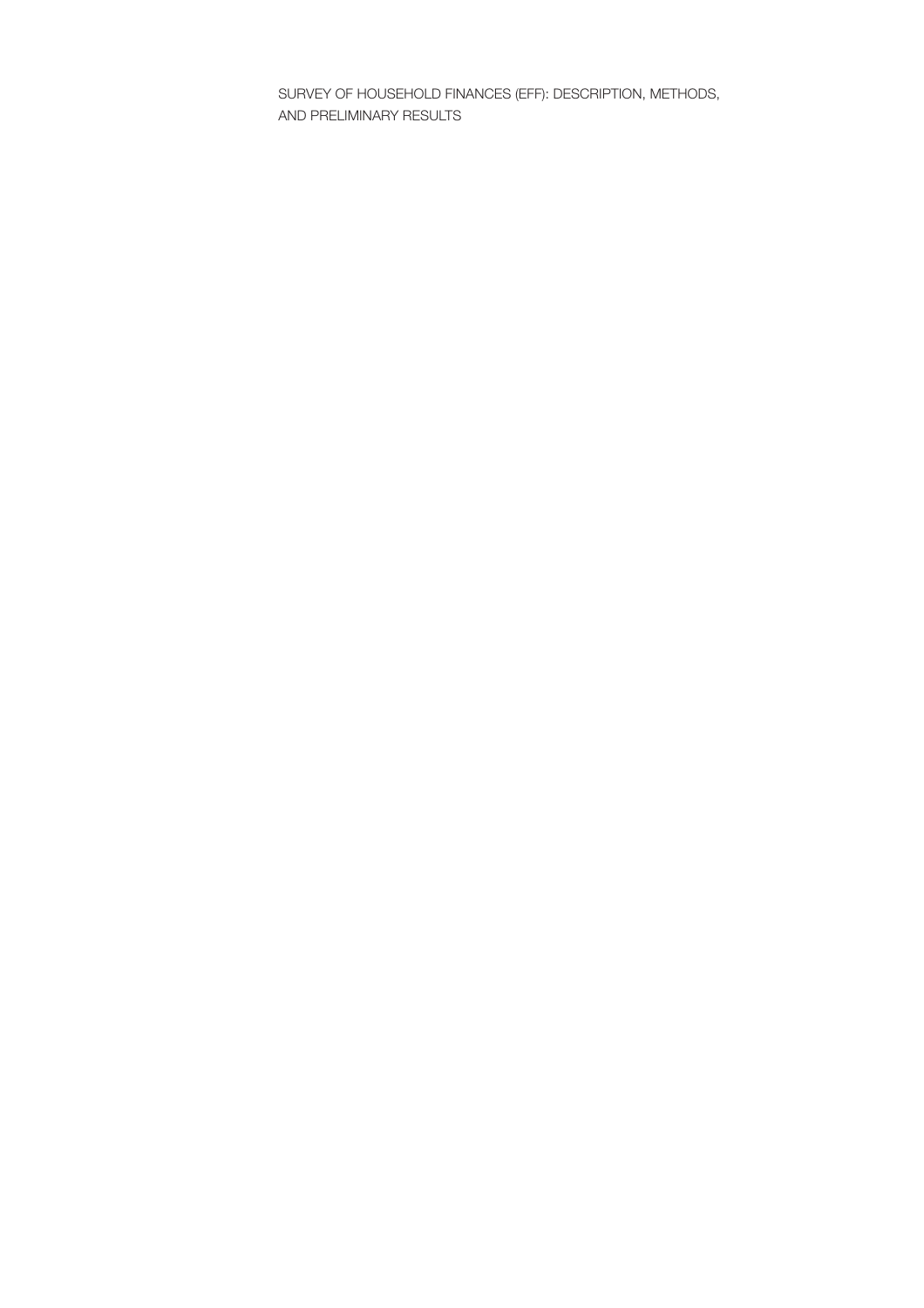SURVEY OF HOUSEHOLD FINANCES (EFF): DESCRIPTION, METHODS, AND PRELIMINARY RESULTS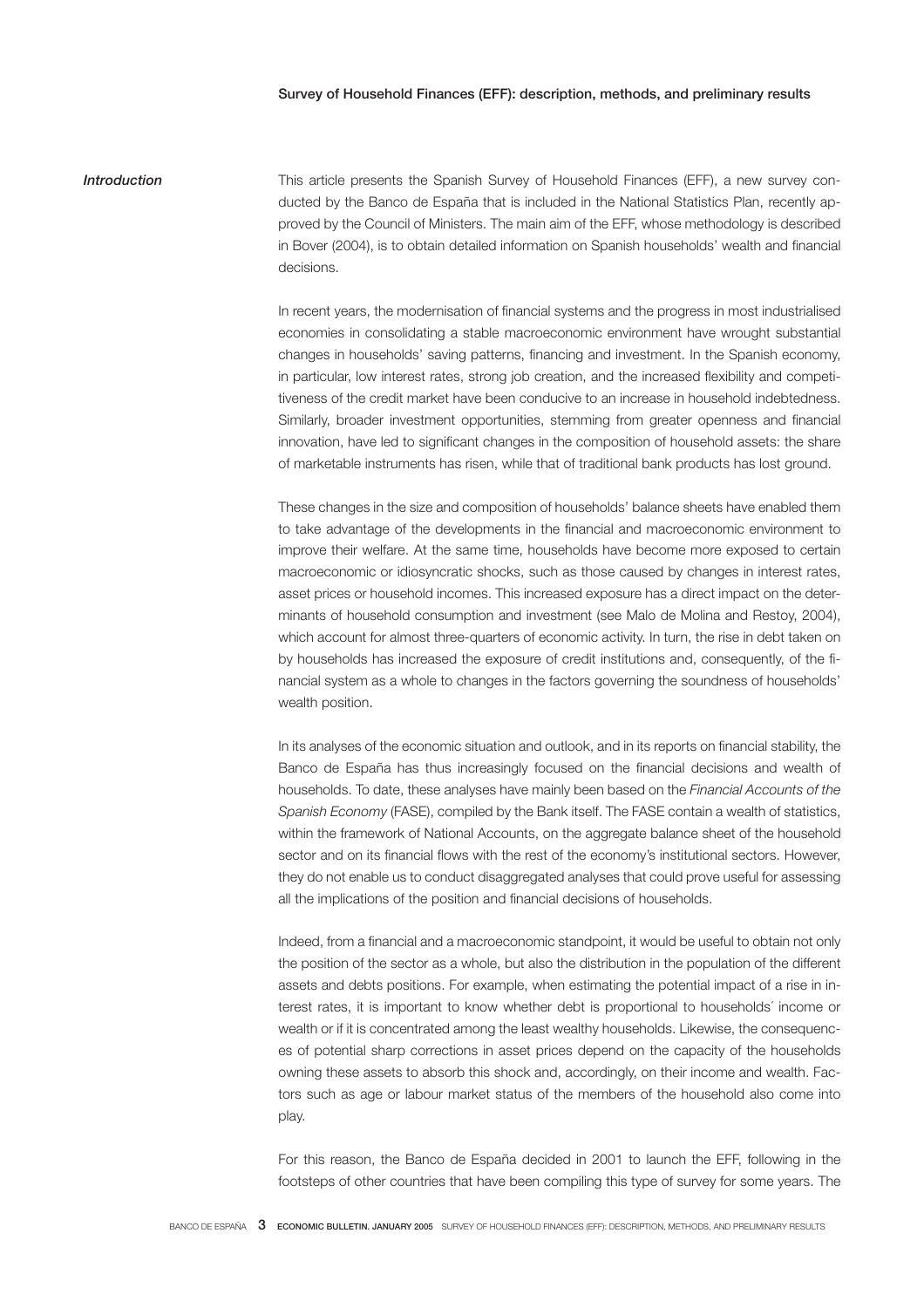# Introduction This article presents the Spanish Survey of Household Finances (EFF), a new survey conducted by the Banco de España that is included in the National Statistics Plan, recently approved by the Council of Ministers. The main aim of the EFF, whose methodology is described in Bover (2004), is to obtain detailed information on Spanish households' wealth and financial decisions.

In recent years, the modernisation of financial systems and the progress in most industrialised economies in consolidating a stable macroeconomic environment have wrought substantial changes in households' saving patterns, financing and investment. In the Spanish economy, in particular, low interest rates, strong job creation, and the increased flexibility and competitiveness of the credit market have been conducive to an increase in household indebtedness. Similarly, broader investment opportunities, stemming from greater openness and financial innovation, have led to significant changes in the composition of household assets: the share of marketable instruments has risen, while that of traditional bank products has lost ground.

These changes in the size and composition of households' balance sheets have enabled them to take advantage of the developments in the financial and macroeconomic environment to improve their welfare. At the same time, households have become more exposed to certain macroeconomic or idiosyncratic shocks, such as those caused by changes in interest rates, asset prices or household incomes. This increased exposure has a direct impact on the determinants of household consumption and investment (see Malo de Molina and Restoy, 2004), which account for almost three-quarters of economic activity. In turn, the rise in debt taken on by households has increased the exposure of credit institutions and, consequently, of the financial system as a whole to changes in the factors governing the soundness of households' wealth position.

In its analyses of the economic situation and outlook, and in its reports on financial stability, the Banco de España has thus increasingly focused on the financial decisions and wealth of households. To date, these analyses have mainly been based on the Financial Accounts of the Spanish Economy (FASE), compiled by the Bank itself. The FASE contain a wealth of statistics, within the framework of National Accounts, on the aggregate balance sheet of the household sector and on its financial flows with the rest of the economy's institutional sectors. However, they do not enable us to conduct disaggregated analyses that could prove useful for assessing all the implications of the position and financial decisions of households.

Indeed, from a financial and a macroeconomic standpoint, it would be useful to obtain not only the position of the sector as a whole, but also the distribution in the population of the different assets and debts positions. For example, when estimating the potential impact of a rise in interest rates, it is important to know whether debt is proportional to households´ income or wealth or if it is concentrated among the least wealthy households. Likewise, the consequences of potential sharp corrections in asset prices depend on the capacity of the households owning these assets to absorb this shock and, accordingly, on their income and wealth. Factors such as age or labour market status of the members of the household also come into play.

For this reason, the Banco de España decided in 2001 to launch the EFF, following in the footsteps of other countries that have been compiling this type of survey for some years. The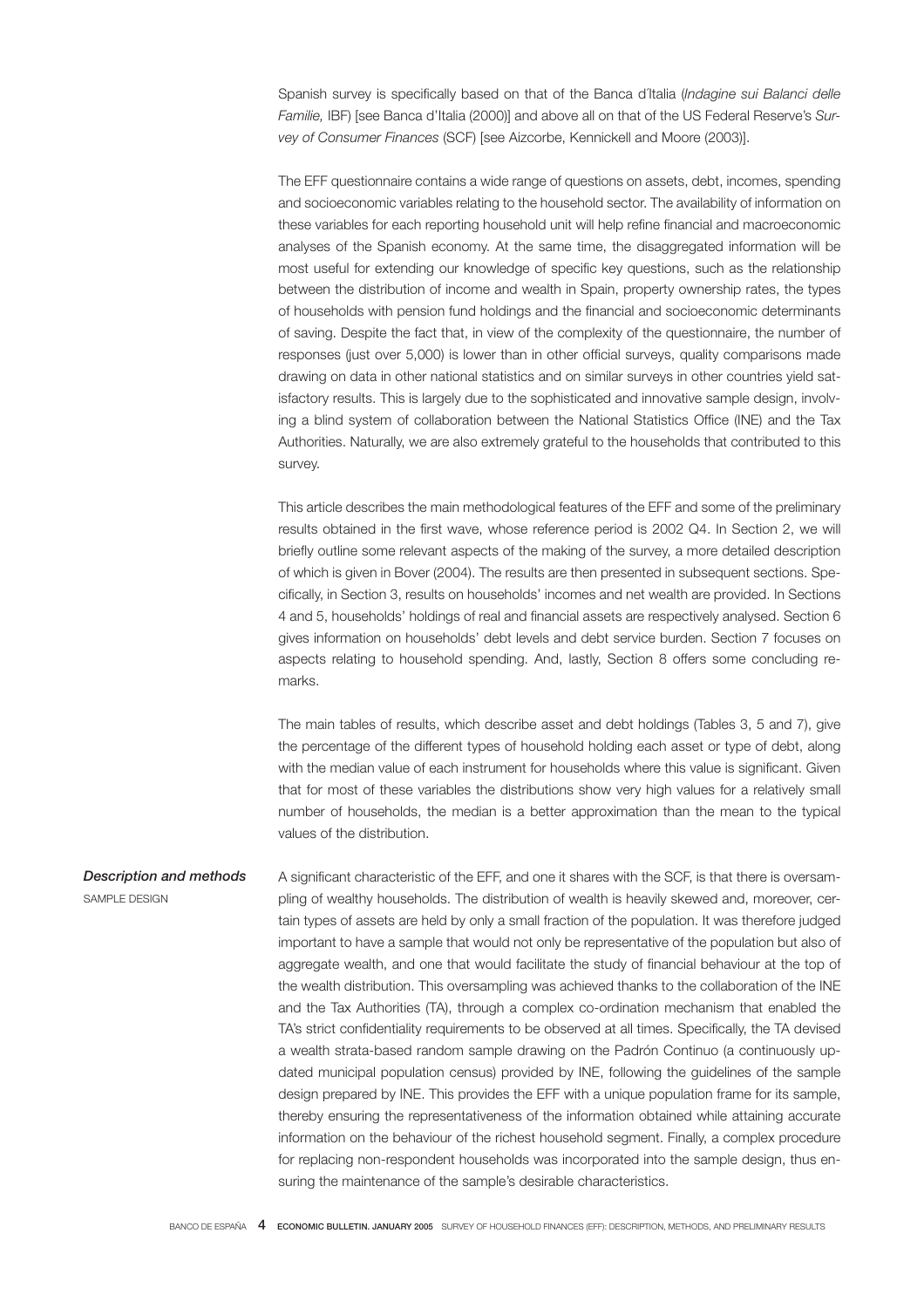Spanish survey is specifically based on that of the Banca d'Italia (Indagine sui Balanci delle Familie, IBF) [see Banca d'Italia (2000)] and above all on that of the US Federal Reserve's Survey of Consumer Finances (SCF) [see Aizcorbe, Kennickell and Moore (2003)].

The EFF questionnaire contains a wide range of questions on assets, debt, incomes, spending and socioeconomic variables relating to the household sector. The availability of information on these variables for each reporting household unit will help refine financial and macroeconomic analyses of the Spanish economy. At the same time, the disaggregated information will be most useful for extending our knowledge of specific key questions, such as the relationship between the distribution of income and wealth in Spain, property ownership rates, the types of households with pension fund holdings and the financial and socioeconomic determinants of saving. Despite the fact that, in view of the complexity of the questionnaire, the number of responses (just over 5,000) is lower than in other official surveys, quality comparisons made drawing on data in other national statistics and on similar surveys in other countries yield satisfactory results. This is largely due to the sophisticated and innovative sample design, involving a blind system of collaboration between the National Statistics Office (INE) and the Tax Authorities. Naturally, we are also extremely grateful to the households that contributed to this survey.

This article describes the main methodological features of the EFF and some of the preliminary results obtained in the first wave, whose reference period is 2002 Q4. In Section 2, we will briefly outline some relevant aspects of the making of the survey, a more detailed description of which is given in Bover (2004). The results are then presented in subsequent sections. Specifi cally, in Section 3, results on households' incomes and net wealth are provided. In Sections 4 and 5, households' holdings of real and financial assets are respectively analysed. Section 6 gives information on households' debt levels and debt service burden. Section 7 focuses on aspects relating to household spending. And, lastly, Section 8 offers some concluding remarks.

The main tables of results, which describe asset and debt holdings (Tables 3, 5 and 7), give the percentage of the different types of household holding each asset or type of debt, along with the median value of each instrument for households where this value is significant. Given that for most of these variables the distributions show very high values for a relatively small number of households, the median is a better approximation than the mean to the typical values of the distribution.

Description and methods SAMPLE DESIGN A significant characteristic of the EFF, and one it shares with the SCF, is that there is oversampling of wealthy households. The distribution of wealth is heavily skewed and, moreover, certain types of assets are held by only a small fraction of the population. It was therefore judged important to have a sample that would not only be representative of the population but also of aggregate wealth, and one that would facilitate the study of financial behaviour at the top of the wealth distribution. This oversampling was achieved thanks to the collaboration of the INE and the Tax Authorities (TA), through a complex co-ordination mechanism that enabled the TA's strict confidentiality requirements to be observed at all times. Specifically, the TA devised a wealth strata-based random sample drawing on the Padrón Continuo (a continuously updated municipal population census) provided by INE, following the guidelines of the sample design prepared by INE. This provides the EFF with a unique population frame for its sample, thereby ensuring the representativeness of the information obtained while attaining accurate information on the behaviour of the richest household segment. Finally, a complex procedure for replacing non-respondent households was incorporated into the sample design, thus ensuring the maintenance of the sample's desirable characteristics.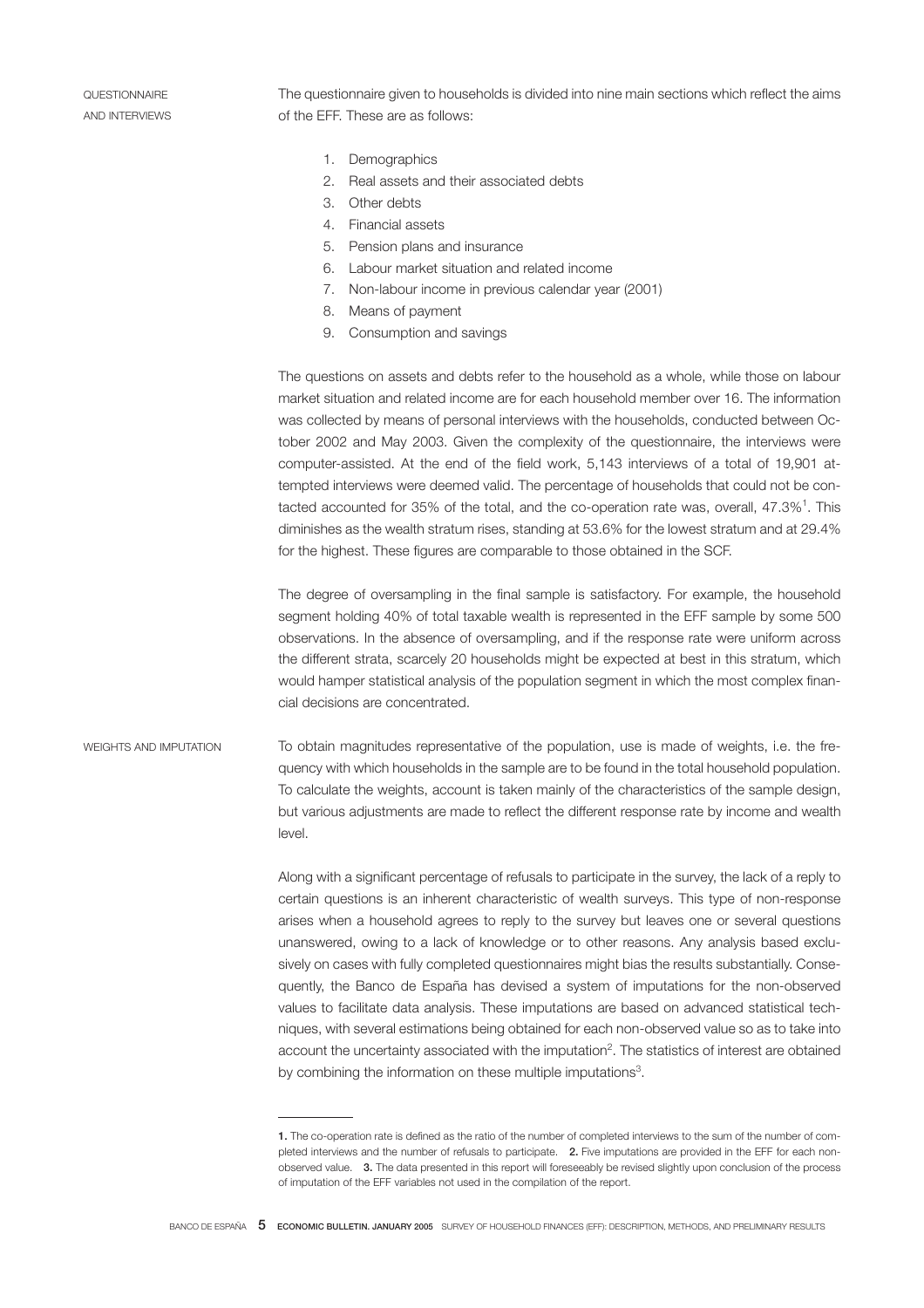QUESTIONNAIRE AND INTERVIEWS The questionnaire given to households is divided into nine main sections which reflect the aims of the EFF. These are as follows:

- 1. Demographics
- 2. Real assets and their associated debts
- 3. Other debts
- 4. Financial assets
- 5. Pension plans and insurance
- 6. Labour market situation and related income
	- 7. Non-labour income in previous calendar year (2001)
	- 8. Means of payment
	- 9. Consumption and savings

The questions on assets and debts refer to the household as a whole, while those on labour market situation and related income are for each household member over 16. The information was collected by means of personal interviews with the households, conducted between October 2002 and May 2003. Given the complexity of the questionnaire, the interviews were computer-assisted. At the end of the field work, 5,143 interviews of a total of 19,901 attempted interviews were deemed valid. The percentage of households that could not be contacted accounted for 35% of the total, and the co-operation rate was, overall,  $47.3\%$ <sup>1</sup>. This diminishes as the wealth stratum rises, standing at 53.6% for the lowest stratum and at 29.4% for the highest. These figures are comparable to those obtained in the SCF.

The degree of oversampling in the final sample is satisfactory. For example, the household segment holding 40% of total taxable wealth is represented in the EFF sample by some 500 observations. In the absence of oversampling, and if the response rate were uniform across the different strata, scarcely 20 households might be expected at best in this stratum, which would hamper statistical analysis of the population segment in which the most complex financial decisions are concentrated.

WEIGHTS AND IMPUTATION To obtain magnitudes representative of the population, use is made of weights, i.e. the frequency with which households in the sample are to be found in the total household population. To calculate the weights, account is taken mainly of the characteristics of the sample design, but various adjustments are made to reflect the different response rate by income and wealth level.

> Along with a significant percentage of refusals to participate in the survey, the lack of a reply to certain questions is an inherent characteristic of wealth surveys. This type of non-response arises when a household agrees to reply to the survey but leaves one or several questions unanswered, owing to a lack of knowledge or to other reasons. Any analysis based exclusively on cases with fully completed questionnaires might bias the results substantially. Consequently, the Banco de España has devised a system of imputations for the non-observed values to facilitate data analysis. These imputations are based on advanced statistical techniques, with several estimations being obtained for each non-observed value so as to take into account the uncertainty associated with the imputation<sup>2</sup>. The statistics of interest are obtained by combining the information on these multiple imputations<sup>3</sup>.

<sup>1.</sup> The co-operation rate is defined as the ratio of the number of completed interviews to the sum of the number of completed interviews and the number of refusals to participate. 2. Five imputations are provided in the EFF for each nonobserved value. 3. The data presented in this report will foreseeably be revised slightly upon conclusion of the process of imputation of the EFF variables not used in the compilation of the report.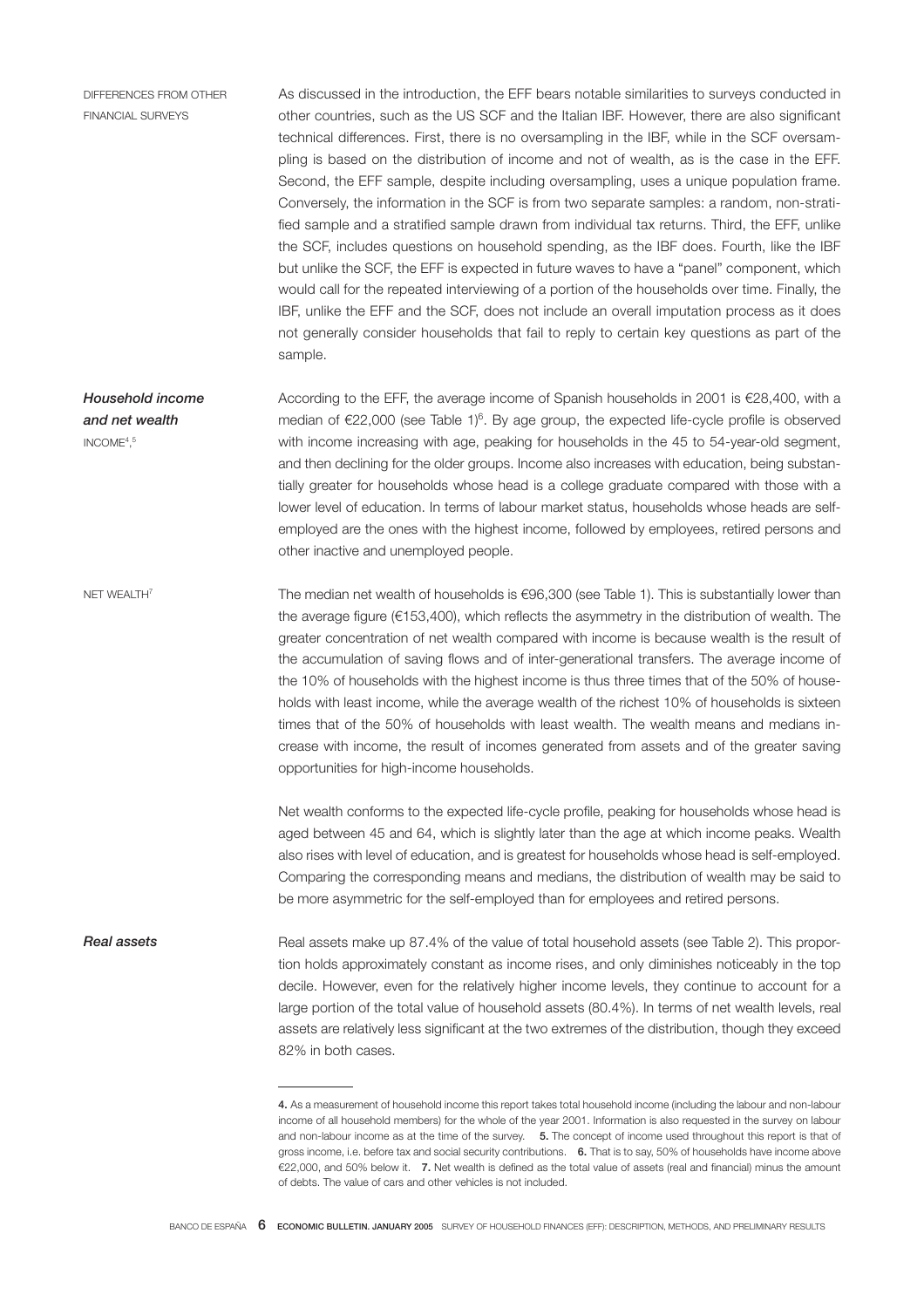DIFFERENCES FROM OTHER FINANCIAL SURVEYS

As discussed in the introduction, the EFF bears notable similarities to surveys conducted in other countries, such as the US SCF and the Italian IBF. However, there are also significant technical differences. First, there is no oversampling in the IBF, while in the SCF oversampling is based on the distribution of income and not of wealth, as is the case in the EFF. Second, the EFF sample, despite including oversampling, uses a unique population frame. Conversely, the information in the SCF is from two separate samples: a random, non-stratified sample and a stratified sample drawn from individual tax returns. Third, the EFF, unlike the SCF, includes questions on household spending, as the IBF does. Fourth, like the IBF but unlike the SCF, the EFF is expected in future waves to have a "panel" component, which would call for the repeated interviewing of a portion of the households over time. Finally, the IBF, unlike the EFF and the SCF, does not include an overall imputation process as it does not generally consider households that fail to reply to certain key questions as part of the sample.

Household income and net wealth INCOME $4,5$ According to the EFF, the average income of Spanish households in 2001 is €28,400, with a median of  $\epsilon$ 22,000 (see Table 1)<sup>6</sup>. By age group, the expected life-cycle profile is observed with income increasing with age, peaking for households in the 45 to 54-year-old segment, and then declining for the older groups. Income also increases with education, being substantially greater for households whose head is a college graduate compared with those with a lower level of education. In terms of labour market status, households whose heads are selfemployed are the ones with the highest income, followed by employees, retired persons and other inactive and unemployed people.

NET WEALTH<sup>7</sup> The median net wealth of households is €96,300 (see Table 1). This is substantially lower than the average figure ( $€153,400$ ), which reflects the asymmetry in the distribution of wealth. The greater concentration of net wealth compared with income is because wealth is the result of the accumulation of saving flows and of inter-generational transfers. The average income of the 10% of households with the highest income is thus three times that of the 50% of households with least income, while the average wealth of the richest 10% of households is sixteen times that of the 50% of households with least wealth. The wealth means and medians increase with income, the result of incomes generated from assets and of the greater saving opportunities for high-income households.

> Net wealth conforms to the expected life-cycle profile, peaking for households whose head is aged between 45 and 64, which is slightly later than the age at which income peaks. Wealth also rises with level of education, and is greatest for households whose head is self-employed. Comparing the corresponding means and medians, the distribution of wealth may be said to be more asymmetric for the self-employed than for employees and retired persons.

Real assets Real assets make up 87.4% of the value of total household assets (see Table 2). This proportion holds approximately constant as income rises, and only diminishes noticeably in the top decile. However, even for the relatively higher income levels, they continue to account for a large portion of the total value of household assets (80.4%). In terms of net wealth levels, real assets are relatively less significant at the two extremes of the distribution, though they exceed 82% in both cases.

<sup>4.</sup> As a measurement of household income this report takes total household income (including the labour and non-labour income of all household members) for the whole of the year 2001. Information is also requested in the survey on labour and non-labour income as at the time of the survey. 5. The concept of income used throughout this report is that of gross income, i.e. before tax and social security contributions. 6. That is to say, 50% of households have income above €22,000, and 50% below it. 7. Net wealth is defined as the total value of assets (real and financial) minus the amount of debts. The value of cars and other vehicles is not included.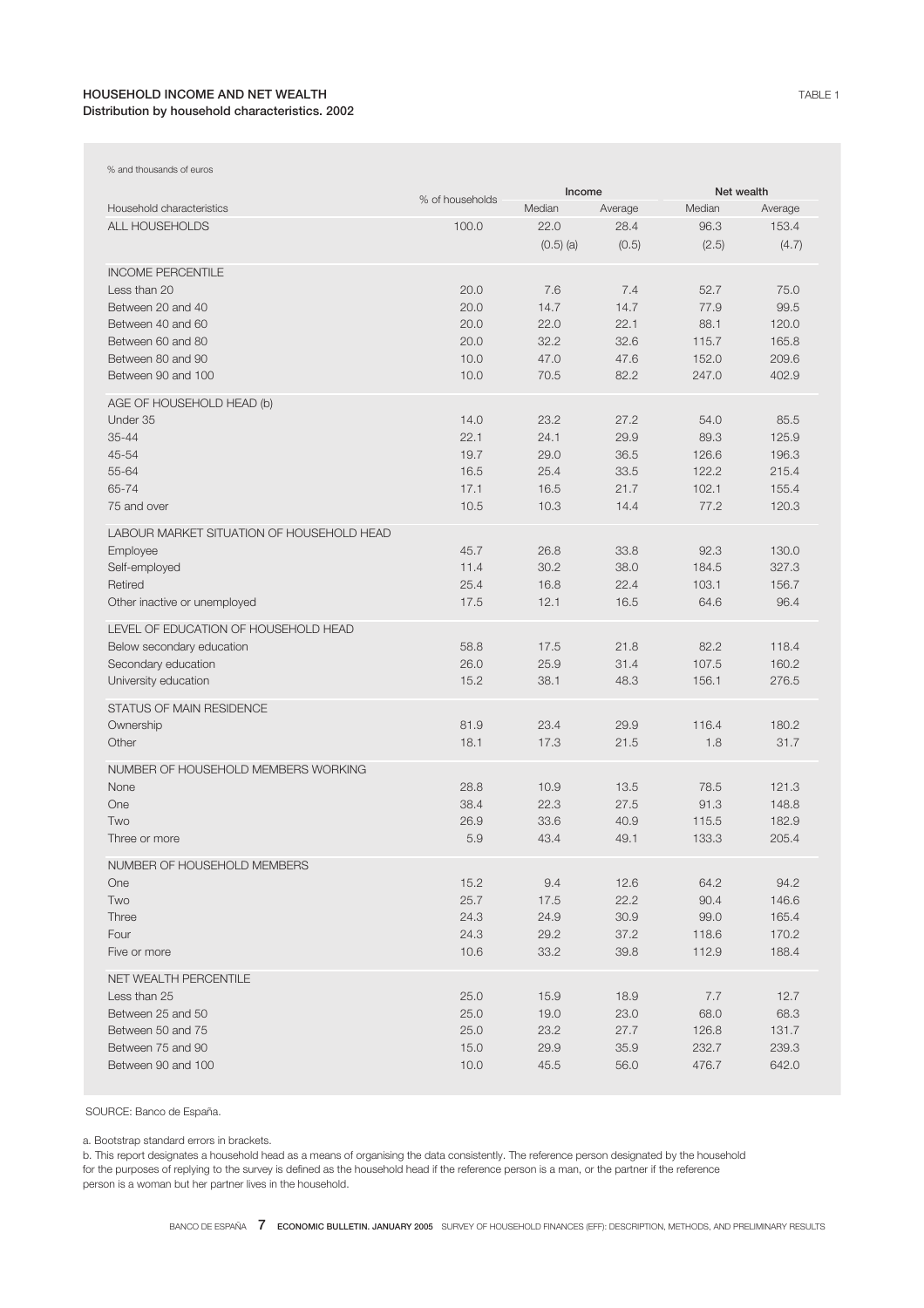# HOUSEHOLD INCOME AND NET WEALTH Distribution by household characteristics. 2002

| % and thousands of euros                  |                 |              |              |                |                |  |
|-------------------------------------------|-----------------|--------------|--------------|----------------|----------------|--|
|                                           | % of households | Income       |              |                | Net wealth     |  |
| Household characteristics                 |                 | Median       | Average      | Median         | Average        |  |
| <b>ALL HOUSEHOLDS</b>                     | 100.0           | 22.0         | 28.4         | 96.3           | 153.4          |  |
|                                           |                 | $(0.5)$ (a)  | (0.5)        | (2.5)          | (4.7)          |  |
| <b>INCOME PERCENTILE</b>                  |                 |              |              |                |                |  |
| Less than 20                              | 20.0            | 7.6          | 7.4          | 52.7           | 75.0           |  |
| Between 20 and 40                         | 20.0            | 14.7         | 14.7         | 77.9           | 99.5           |  |
| Between 40 and 60                         | 20.0            | 22.0         | 22.1         | 88.1           | 120.0          |  |
| Between 60 and 80                         | 20.0            | 32.2         | 32.6         | 115.7          | 165.8          |  |
| Between 80 and 90                         | 10.0            | 47.0         | 47.6         | 152.0          | 209.6          |  |
| Between 90 and 100                        | 10.0            | 70.5         | 82.2         | 247.0          | 402.9          |  |
|                                           |                 |              |              |                |                |  |
| AGE OF HOUSEHOLD HEAD (b)                 |                 |              |              |                |                |  |
| Under 35                                  | 14.0            | 23.2         | 27.2         | 54.0           | 85.5           |  |
| $35 - 44$                                 | 22.1            | 24.1         | 29.9         | 89.3           | 125.9          |  |
| 45-54                                     | 19.7            | 29.0         | 36.5         | 126.6          | 196.3          |  |
| 55-64                                     | 16.5            | 25.4         | 33.5         | 122.2          | 215.4          |  |
| 65-74                                     | 17.1            | 16.5         | 21.7         | 102.1          | 155.4          |  |
| 75 and over                               | 10.5            | 10.3         | 14.4         | 77.2           | 120.3          |  |
| LABOUR MARKET SITUATION OF HOUSEHOLD HEAD |                 |              |              |                |                |  |
| Employee                                  | 45.7            | 26.8         | 33.8         | 92.3           | 130.0          |  |
| Self-employed                             | 11.4            | 30.2         | 38.0         | 184.5          | 327.3          |  |
| Retired                                   | 25.4            | 16.8         | 22.4         | 103.1          | 156.7          |  |
| Other inactive or unemployed              | 17.5            | 12.1         | 16.5         | 64.6           | 96.4           |  |
|                                           |                 |              |              |                |                |  |
| LEVEL OF EDUCATION OF HOUSEHOLD HEAD      |                 |              |              |                |                |  |
| Below secondary education                 | 58.8            | 17.5         | 21.8         | 82.2           | 118.4          |  |
| Secondary education                       | 26.0<br>15.2    | 25.9<br>38.1 | 31.4<br>48.3 | 107.5<br>156.1 | 160.2<br>276.5 |  |
| University education                      |                 |              |              |                |                |  |
| <b>STATUS OF MAIN RESIDENCE</b>           |                 |              |              |                |                |  |
| Ownership                                 | 81.9            | 23.4         | 29.9         | 116.4          | 180.2          |  |
| Other                                     | 18.1            | 17.3         | 21.5         | 1.8            | 31.7           |  |
| NUMBER OF HOUSEHOLD MEMBERS WORKING       |                 |              |              |                |                |  |
| None                                      | 28.8            | 10.9         | 13.5         | 78.5           | 121.3          |  |
| One                                       | 38.4            | 22.3         | 27.5         | 91.3           | 148.8          |  |
| Two                                       | 26.9            | 33.6         | 40.9         | 115.5          | 182.9          |  |
| Three or more                             | 5.9             | 43.4         | 49.1         | 133.3          | 205.4          |  |
|                                           |                 |              |              |                |                |  |
| NUMBER OF HOUSEHOLD MEMBERS               |                 |              |              |                |                |  |
| One                                       | 15.2            | 9.4          | 12.6         | 64.2           | 94.2           |  |
| Two                                       | 25.7            | 17.5         | 22.2         | 90.4           | 146.6          |  |
| Three                                     | 24.3            | 24.9         | 30.9         | 99.0           | 165.4          |  |
| Four                                      | 24.3            | 29.2         | 37.2         | 118.6          | 170.2          |  |
| Five or more                              | 10.6            | 33.2         | 39.8         | 112.9          | 188.4          |  |
| NET WEALTH PERCENTILE                     |                 |              |              |                |                |  |
| Less than 25                              | 25.0            | 15.9         | 18.9         | 7.7            | 12.7           |  |
| Between 25 and 50                         | 25.0            | 19.0         | 23.0         | 68.0           | 68.3           |  |
| Between 50 and 75                         | 25.0            | 23.2         | 27.7         | 126.8          | 131.7          |  |
| Between 75 and 90                         | 15.0            | 29.9         | 35.9         | 232.7          | 239.3          |  |
| Between 90 and 100                        | 10.0            | 45.5         | 56.0         | 476.7          | 642.0          |  |
|                                           |                 |              |              |                |                |  |

SOURCE: Banco de España.

a. Bootstrap standard errors in brackets.

b. This report designates a household head as a means of organising the data consistently. The reference person designated by the household for the purposes of replying to the survey is defined as the household head if the reference person is a man, or the partner if the reference person is a woman but her partner lives in the household.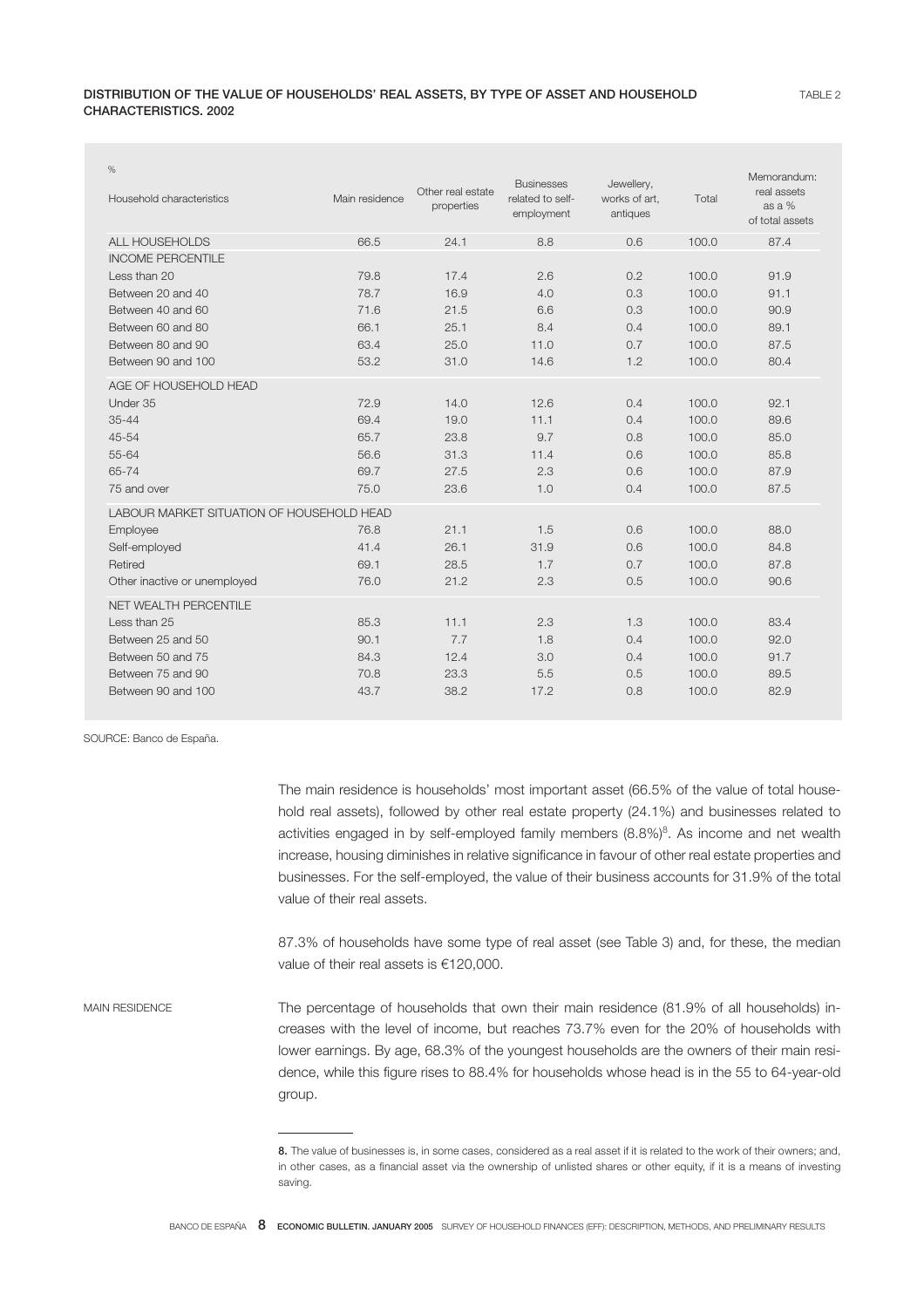| $\%$<br>Household characteristics         | Main residence | Other real estate<br>properties | <b>Businesses</b><br>related to self-<br>employment | Jewellery,<br>works of art,<br>antiques | Total | Memorandum:<br>real assets<br>as a %<br>of total assets |
|-------------------------------------------|----------------|---------------------------------|-----------------------------------------------------|-----------------------------------------|-------|---------------------------------------------------------|
| <b>ALL HOUSEHOLDS</b>                     | 66.5           | 24.1                            | 8.8                                                 | 0.6                                     | 100.0 | 87.4                                                    |
| <b>INCOME PERCENTILE</b>                  |                |                                 |                                                     |                                         |       |                                                         |
| Less than 20                              | 79.8           | 17.4                            | 2.6                                                 | 0.2                                     | 100.0 | 91.9                                                    |
| Between 20 and 40                         | 78.7           | 16.9                            | 4.0                                                 | 0.3                                     | 100.0 | 91.1                                                    |
| Between 40 and 60                         | 71.6           | 21.5                            | 6.6                                                 | 0.3                                     | 100.0 | 90.9                                                    |
| Between 60 and 80                         | 66.1           | 25.1                            | 8.4                                                 | 0.4                                     | 100.0 | 89.1                                                    |
| Between 80 and 90                         | 63.4           | 25.0                            | 11.0                                                | 0.7                                     | 100.0 | 87.5                                                    |
| Between 90 and 100                        | 53.2           | 31.0                            | 14.6                                                | 1.2                                     | 100.0 | 80.4                                                    |
| AGE OF HOUSEHOLD HEAD                     |                |                                 |                                                     |                                         |       |                                                         |
| Under 35                                  | 72.9           | 14.0                            | 12.6                                                | 0.4                                     | 100.0 | 92.1                                                    |
| $35 - 44$                                 | 69.4           | 19.0                            | 11.1                                                | 0.4                                     | 100.0 | 89.6                                                    |
| 45-54                                     | 65.7           | 23.8                            | 9.7                                                 | 0.8                                     | 100.0 | 85.0                                                    |
| 55-64                                     | 56.6           | 31.3                            | 11.4                                                | 0.6                                     | 100.0 | 85.8                                                    |
| 65-74                                     | 69.7           | 27.5                            | 2.3                                                 | 0.6                                     | 100.0 | 87.9                                                    |
| 75 and over                               | 75.0           | 23.6                            | 1.0                                                 | 0.4                                     | 100.0 | 87.5                                                    |
| LABOUR MARKET SITUATION OF HOUSEHOLD HEAD |                |                                 |                                                     |                                         |       |                                                         |
| Employee                                  | 76.8           | 21.1                            | 1.5                                                 | 0.6                                     | 100.0 | 88.0                                                    |
| Self-employed                             | 41.4           | 26.1                            | 31.9                                                | 0.6                                     | 100.0 | 84.8                                                    |
| Retired                                   | 69.1           | 28.5                            | 1.7                                                 | 0.7                                     | 100.0 | 87.8                                                    |
| Other inactive or unemployed              | 76.0           | 21.2                            | 2.3                                                 | 0.5                                     | 100.0 | 90.6                                                    |
| NET WEALTH PERCENTILE                     |                |                                 |                                                     |                                         |       |                                                         |
| Less than 25                              | 85.3           | 11.1                            | 2.3                                                 | 1.3                                     | 100.0 | 83.4                                                    |
| Between 25 and 50                         | 90.1           | 7.7                             | 1.8                                                 | 0.4                                     | 100.0 | 92.0                                                    |
| Between 50 and 75                         | 84.3           | 12.4                            | 3.0                                                 | 0.4                                     | 100.0 | 91.7                                                    |
| Between 75 and 90                         | 70.8           | 23.3                            | 5.5                                                 | 0.5                                     | 100.0 | 89.5                                                    |
| Between 90 and 100                        | 43.7           | 38.2                            | 17.2                                                | 0.8                                     | 100.0 | 82.9                                                    |

SOURCE: Banco de España.

The main residence is households' most important asset (66.5% of the value of total household real assets), followed by other real estate property (24.1%) and businesses related to activities engaged in by self-employed family members  $(8.8\%)^8$ . As income and net wealth increase, housing diminishes in relative significance in favour of other real estate properties and businesses. For the self-employed, the value of their business accounts for 31.9% of the total value of their real assets.

87.3% of households have some type of real asset (see Table 3) and, for these, the median value of their real assets is €120,000.

MAIN RESIDENCE The percentage of households that own their main residence (81.9% of all households) increases with the level of income, but reaches 73.7% even for the 20% of households with lower earnings. By age, 68.3% of the youngest households are the owners of their main residence, while this figure rises to 88.4% for households whose head is in the 55 to 64-year-old group.

<sup>8.</sup> The value of businesses is, in some cases, considered as a real asset if it is related to the work of their owners; and, in other cases, as a financial asset via the ownership of unlisted shares or other equity, if it is a means of investing saving.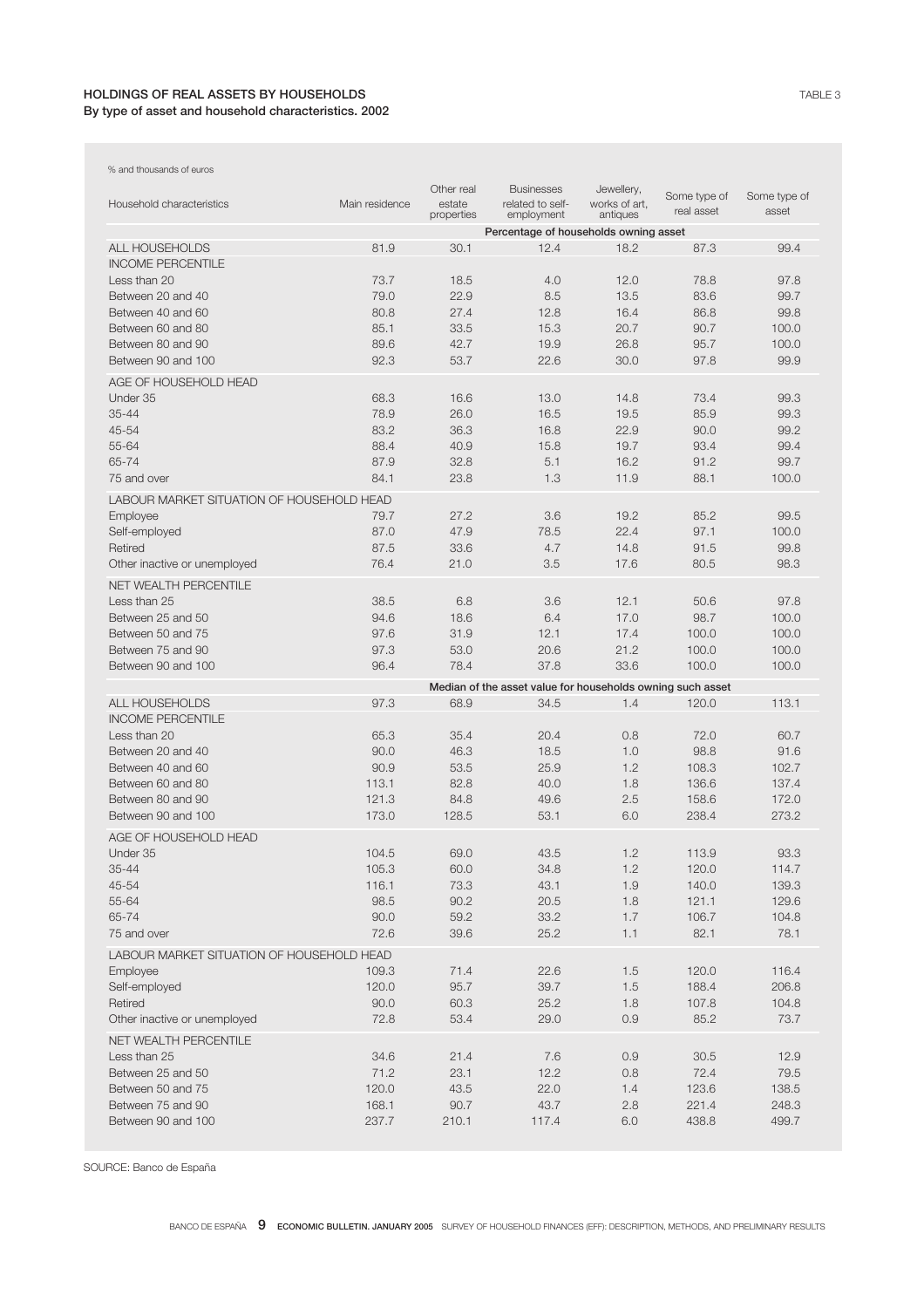## HOLDINGS OF REAL ASSETS BY HOUSEHOLDS By type of asset and household characteristics. 2002

| % and thousands of euros                  |                |                                    |                                                            |                                         |                            |                       |
|-------------------------------------------|----------------|------------------------------------|------------------------------------------------------------|-----------------------------------------|----------------------------|-----------------------|
| Household characteristics                 | Main residence | Other real<br>estate<br>properties | <b>Businesses</b><br>related to self-<br>employment        | Jewellery,<br>works of art,<br>antiques | Some type of<br>real asset | Some type of<br>asset |
|                                           |                |                                    | Percentage of households owning asset                      |                                         |                            |                       |
| ALL HOUSEHOLDS                            | 81.9           | 30.1                               | 12.4                                                       | 18.2                                    | 87.3                       | 99.4                  |
| <b>INCOME PERCENTILE</b>                  |                |                                    |                                                            |                                         |                            |                       |
| Less than 20                              | 73.7           | 18.5                               | 4.0                                                        | 12.0                                    | 78.8                       | 97.8                  |
| Between 20 and 40                         | 79.0           | 22.9                               | 8.5                                                        | 13.5                                    | 83.6                       | 99.7                  |
| Between 40 and 60                         | 80.8           | 27.4                               | 12.8                                                       | 16.4                                    | 86.8                       | 99.8                  |
| Between 60 and 80                         | 85.1           | 33.5                               | 15.3                                                       | 20.7                                    | 90.7                       | 100.0                 |
| Between 80 and 90                         | 89.6           | 42.7                               | 19.9                                                       | 26.8                                    | 95.7                       | 100.0                 |
| Between 90 and 100                        | 92.3           | 53.7                               | 22.6                                                       | 30.0                                    | 97.8                       | 99.9                  |
| AGE OF HOUSEHOLD HEAD                     |                |                                    |                                                            |                                         |                            |                       |
| Under 35                                  | 68.3           | 16.6                               | 13.0                                                       | 14.8                                    | 73.4                       | 99.3                  |
| 35-44                                     | 78.9           | 26.0                               | 16.5                                                       | 19.5                                    | 85.9                       | 99.3                  |
| 45-54                                     | 83.2           | 36.3                               | 16.8                                                       | 22.9                                    | 90.0                       | 99.2                  |
| 55-64                                     | 88.4           | 40.9                               | 15.8                                                       | 19.7                                    | 93.4                       | 99.4                  |
| 65-74                                     | 87.9           | 32.8                               | 5.1                                                        | 16.2                                    | 91.2                       | 99.7                  |
| 75 and over                               | 84.1           | 23.8                               | 1.3                                                        | 11.9                                    | 88.1                       | 100.0                 |
|                                           |                |                                    |                                                            |                                         |                            |                       |
| LABOUR MARKET SITUATION OF HOUSEHOLD HEAD |                |                                    |                                                            |                                         |                            |                       |
| Employee                                  | 79.7           | 27.2                               | 3.6                                                        | 19.2                                    | 85.2                       | 99.5                  |
| Self-employed                             | 87.0           | 47.9                               | 78.5                                                       | 22.4                                    | 97.1                       | 100.0                 |
| Retired                                   | 87.5           | 33.6                               | 4.7                                                        | 14.8                                    | 91.5                       | 99.8                  |
| Other inactive or unemployed              | 76.4           | 21.0                               | 3.5                                                        | 17.6                                    | 80.5                       | 98.3                  |
| <b>NET WEALTH PERCENTILE</b>              |                |                                    |                                                            |                                         |                            |                       |
| Less than 25                              | 38.5           | 6.8                                | 3.6                                                        | 12.1                                    | 50.6                       | 97.8                  |
| Between 25 and 50                         | 94.6           | 18.6                               | 6.4                                                        | 17.0                                    | 98.7                       | 100.0                 |
| Between 50 and 75                         | 97.6           | 31.9                               | 12.1                                                       | 17.4                                    | 100.0                      | 100.0                 |
| Between 75 and 90                         | 97.3           | 53.0                               | 20.6                                                       | 21.2                                    | 100.0                      | 100.0                 |
| Between 90 and 100                        | 96.4           | 78.4                               | 37.8                                                       | 33.6                                    | 100.0                      | 100.0                 |
|                                           |                |                                    | Median of the asset value for households owning such asset |                                         |                            |                       |
| <b>ALL HOUSEHOLDS</b>                     | 97.3           | 68.9                               | 34.5                                                       | 1.4                                     | 120.0                      | 113.1                 |
| <b>INCOME PERCENTILE</b>                  |                |                                    |                                                            |                                         |                            |                       |
| Less than 20                              | 65.3           | 35.4                               | 20.4                                                       | 0.8                                     | 72.0                       | 60.7                  |
| Between 20 and 40                         | 90.0           | 46.3                               | 18.5                                                       | 1.0                                     | 98.8                       | 91.6                  |
| Between 40 and 60                         | 90.9           | 53.5                               | 25.9                                                       | 1.2                                     | 108.3                      | 102.7                 |
| Between 60 and 80                         | 113.1          | 82.8                               | 40.0                                                       | 1.8                                     | 136.6                      | 137.4                 |
| Between 80 and 90                         | 121.3          | 84.8                               | 49.6                                                       | 2.5                                     | 158.6                      | 172.0                 |
| Between 90 and 100                        | 173.0          | 128.5                              | 53.1                                                       | 6.0                                     | 238.4                      | 273.2                 |
| AGE OF HOUSEHOLD HEAD                     |                |                                    |                                                            |                                         |                            |                       |
| Under 35                                  | 104.5          | 69.0                               |                                                            | 1.2                                     | 113.9                      | 93.3                  |
| $35 - 44$                                 | 105.3          | 60.0                               | 43.5<br>34.8                                               | 1.2                                     | 120.0                      | 114.7                 |
| 45-54                                     |                | 73.3                               | 43.1                                                       |                                         |                            |                       |
| 55-64                                     | 116.1<br>98.5  | 90.2                               | 20.5                                                       | 1.9<br>1.8                              | 140.0<br>121.1             | 139.3                 |
| 65-74                                     | 90.0           | 59.2                               | 33.2                                                       |                                         | 106.7                      | 129.6<br>104.8        |
| 75 and over                               | 72.6           | 39.6                               | 25.2                                                       | 1.7<br>1.1                              | 82.1                       | 78.1                  |
|                                           |                |                                    |                                                            |                                         |                            |                       |
| LABOUR MARKET SITUATION OF HOUSEHOLD HEAD |                |                                    |                                                            |                                         |                            |                       |
| Employee                                  | 109.3          | 71.4                               | 22.6                                                       | 1.5                                     | 120.0                      | 116.4                 |
| Self-employed                             | 120.0          | 95.7                               | 39.7                                                       | 1.5                                     | 188.4                      | 206.8                 |
| Retired                                   | 90.0           | 60.3                               | 25.2                                                       | 1.8                                     | 107.8                      | 104.8                 |
| Other inactive or unemployed              | 72.8           | 53.4                               | 29.0                                                       | 0.9                                     | 85.2                       | 73.7                  |
| NET WEALTH PERCENTILE                     |                |                                    |                                                            |                                         |                            |                       |
| Less than 25                              | 34.6           | 21.4                               | 7.6                                                        | 0.9                                     | 30.5                       | 12.9                  |
| Between 25 and 50                         | 71.2           | 23.1                               | 12.2                                                       | 0.8                                     | 72.4                       | 79.5                  |
| Between 50 and 75                         | 120.0          | 43.5                               | 22.0                                                       | 1.4                                     | 123.6                      | 138.5                 |
| Between 75 and 90                         | 168.1          | 90.7                               | 43.7                                                       | 2.8                                     | 221.4                      | 248.3                 |
| Between 90 and 100                        | 237.7          | 210.1                              | 117.4                                                      | 6.0                                     | 438.8                      | 499.7                 |

SOURCE: Banco de España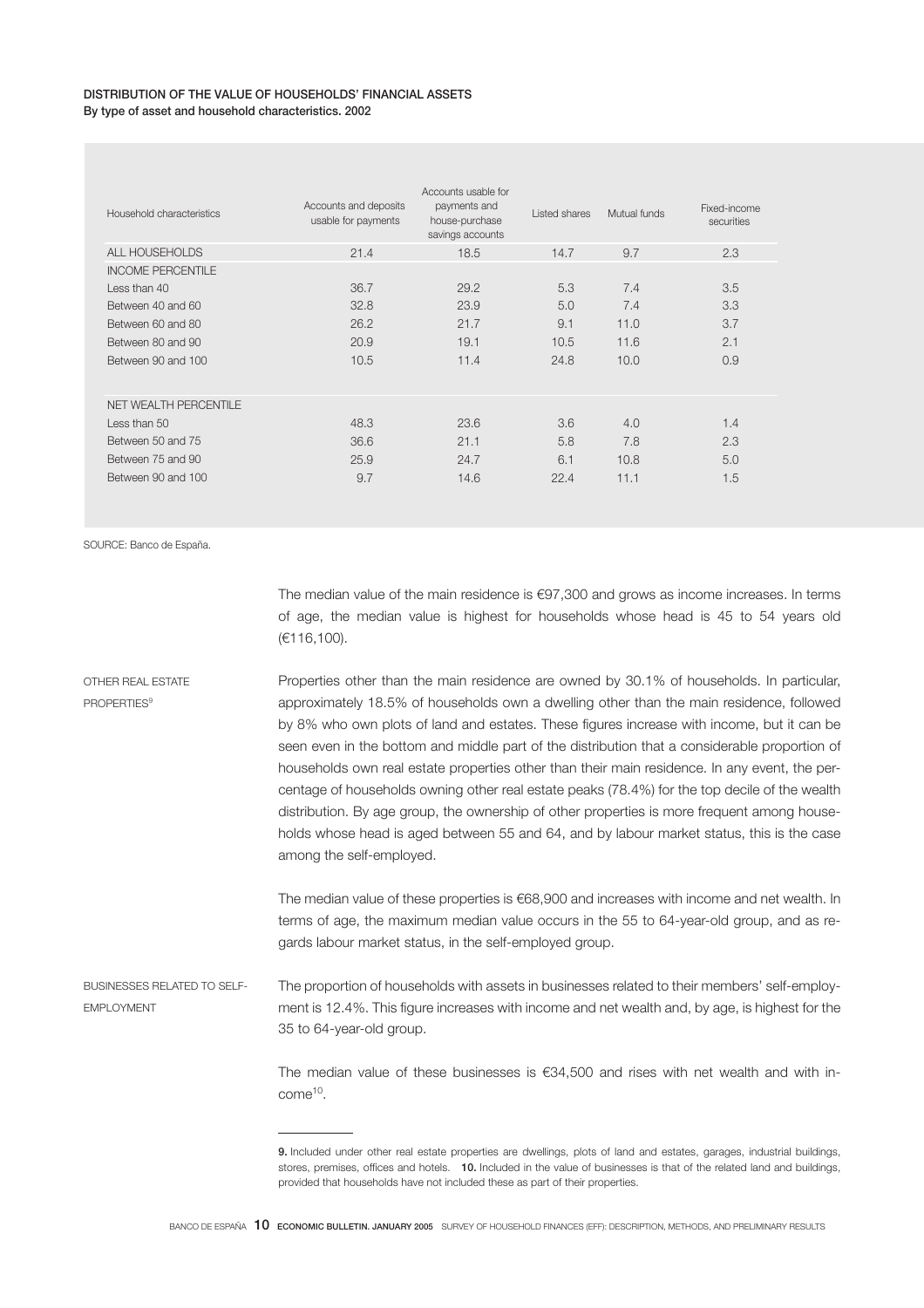### DISTRIBUTION OF THE VALUE OF HOUSEHOLDS' FINANCIAL ASSETS By type of asset and household characteristics. 2002

| securities |
|------------|
| 2.3        |
|            |
| 3.5        |
| 3.3        |
| 3.7        |
| 2.1        |
| 0.9        |
|            |
|            |
| 1.4        |
| 2.3        |
| 5.0        |
| 1.5        |
|            |

SOURCE: Banco de España.

The median value of the main residence is €97,300 and grows as income increases. In terms of age, the median value is highest for households whose head is 45 to 54 years old (€116,100).

OTHER REAL ESTATE PROPERTIES<sup>9</sup> Properties other than the main residence are owned by 30.1% of households. In particular, approximately 18.5% of households own a dwelling other than the main residence, followed by 8% who own plots of land and estates. These figures increase with income, but it can be seen even in the bottom and middle part of the distribution that a considerable proportion of households own real estate properties other than their main residence. In any event, the percentage of households owning other real estate peaks (78.4%) for the top decile of the wealth distribution. By age group, the ownership of other properties is more frequent among households whose head is aged between 55 and 64, and by labour market status, this is the case among the self-employed.

> The median value of these properties is €68,900 and increases with income and net wealth. In terms of age, the maximum median value occurs in the 55 to 64-year-old group, and as regards labour market status, in the self-employed group.

BUSINESSES RELATED TO SELF-EMPLOYMENT The proportion of households with assets in businesses related to their members' self-employment is 12.4%. This figure increases with income and net wealth and, by age, is highest for the 35 to 64-year-old group.

> The median value of these businesses is €34,500 and rises with net wealth and with income<sup>10</sup>.

<sup>9.</sup> Included under other real estate properties are dwellings, plots of land and estates, garages, industrial buildings, stores, premises, offices and hotels. 10. Included in the value of businesses is that of the related land and buildings, provided that households have not included these as part of their properties.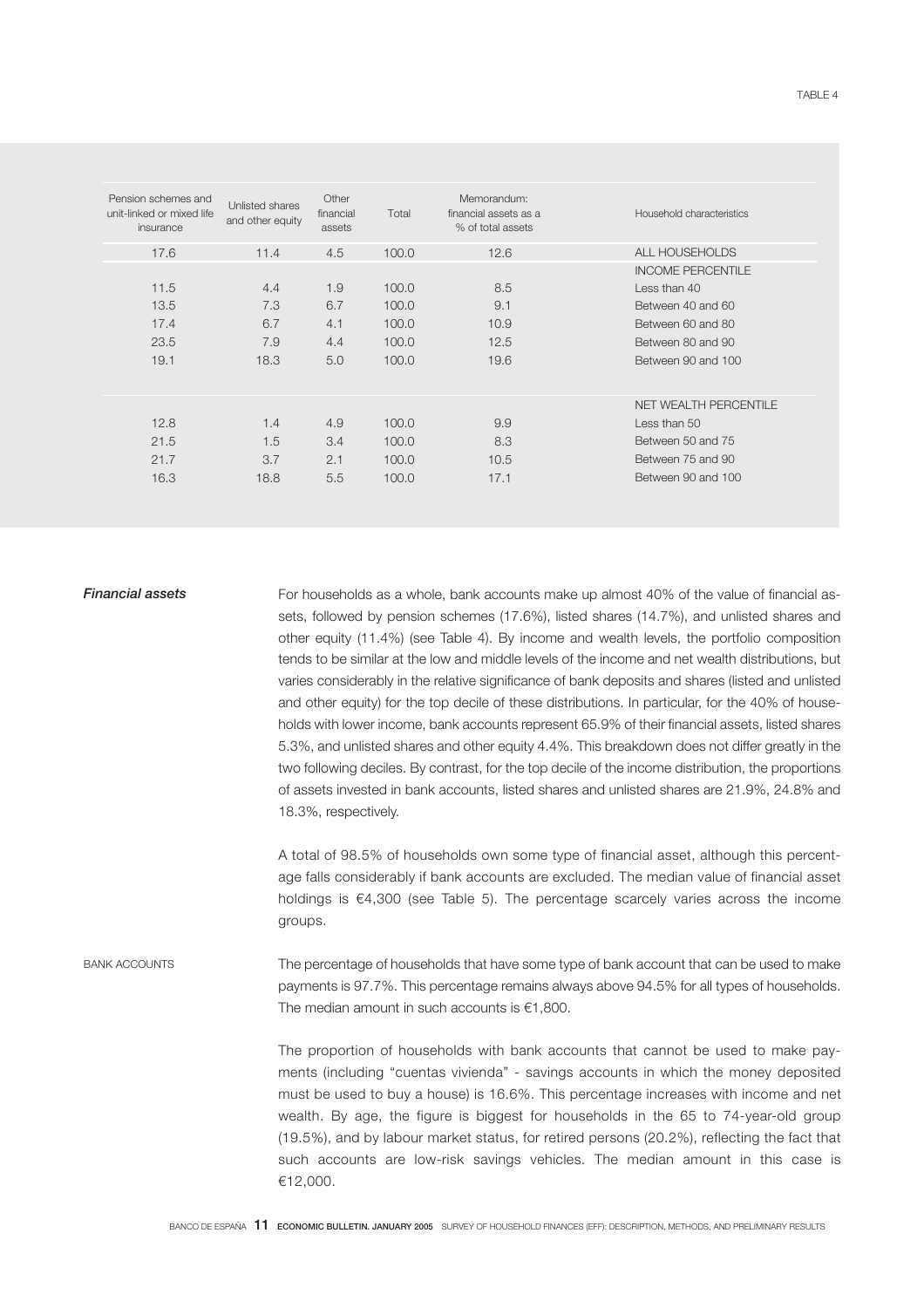| Pension schemes and<br>unit-linked or mixed life<br>insurance | Unlisted shares<br>and other equity | Other<br>financial<br>assets | Total | Memorandum:<br>financial assets as a<br>% of total assets | Household characteristics |
|---------------------------------------------------------------|-------------------------------------|------------------------------|-------|-----------------------------------------------------------|---------------------------|
| 17.6                                                          | 11.4                                | 4.5                          | 100.0 | 12.6                                                      | ALL HOUSEHOLDS            |
|                                                               |                                     |                              |       |                                                           | <b>INCOME PERCENTILE</b>  |
| 11.5                                                          | 4.4                                 | 1.9                          | 100.0 | 8.5                                                       | Less than $40$            |
| 13.5                                                          | 7.3                                 | 6.7                          | 100.0 | 9.1                                                       | Between 40 and 60         |
| 17.4                                                          | 6.7                                 | 4.1                          | 100.0 | 10.9                                                      | Between 60 and 80         |
| 23.5                                                          | 7.9                                 | 4.4                          | 100.0 | 12.5                                                      | Between 80 and 90         |
| 19.1                                                          | 18.3                                | 5.0                          | 100.0 | 19.6                                                      | Between 90 and 100        |
|                                                               |                                     |                              |       |                                                           |                           |
|                                                               |                                     |                              |       |                                                           | NET WEALTH PERCENTILE     |
| 12.8                                                          | 1.4                                 | 4.9                          | 100.0 | 9.9                                                       | Less than 50              |
| 21.5                                                          | 1.5                                 | 3.4                          | 100.0 | 8.3                                                       | Between 50 and 75         |
| 21.7                                                          | 3.7                                 | 2.1                          | 100.0 | 10.5                                                      | Between 75 and 90         |
| 16.3                                                          | 18.8                                | 5.5                          | 100.0 | 17.1                                                      | Between 90 and 100        |
|                                                               |                                     |                              |       |                                                           |                           |

**Financial assets** For households as a whole, bank accounts make up almost 40% of the value of financial assets, followed by pension schemes (17.6%), listed shares (14.7%), and unlisted shares and other equity (11.4%) (see Table 4). By income and wealth levels, the portfolio composition tends to be similar at the low and middle levels of the income and net wealth distributions, but varies considerably in the relative significance of bank deposits and shares (listed and unlisted and other equity) for the top decile of these distributions. In particular, for the 40% of households with lower income, bank accounts represent 65.9% of their financial assets, listed shares 5.3%, and unlisted shares and other equity 4.4%. This breakdown does not differ greatly in the two following deciles. By contrast, for the top decile of the income distribution, the proportions of assets invested in bank accounts, listed shares and unlisted shares are 21.9%, 24.8% and 18.3%, respectively.

> A total of 98.5% of households own some type of financial asset, although this percentage falls considerably if bank accounts are excluded. The median value of financial asset holdings is €4,300 (see Table 5). The percentage scarcely varies across the income groups.

BANK ACCOUNTS The percentage of households that have some type of bank account that can be used to make payments is 97.7%. This percentage remains always above 94.5% for all types of households. The median amount in such accounts is  $€1,800$ .

> The proportion of households with bank accounts that cannot be used to make payments (including "cuentas vivienda" - savings accounts in which the money deposited must be used to buy a house) is 16.6%. This percentage increases with income and net wealth. By age, the figure is biggest for households in the 65 to 74-year-old group (19.5%), and by labour market status, for retired persons (20.2%), reflecting the fact that such accounts are low-risk savings vehicles. The median amount in this case is €12,000.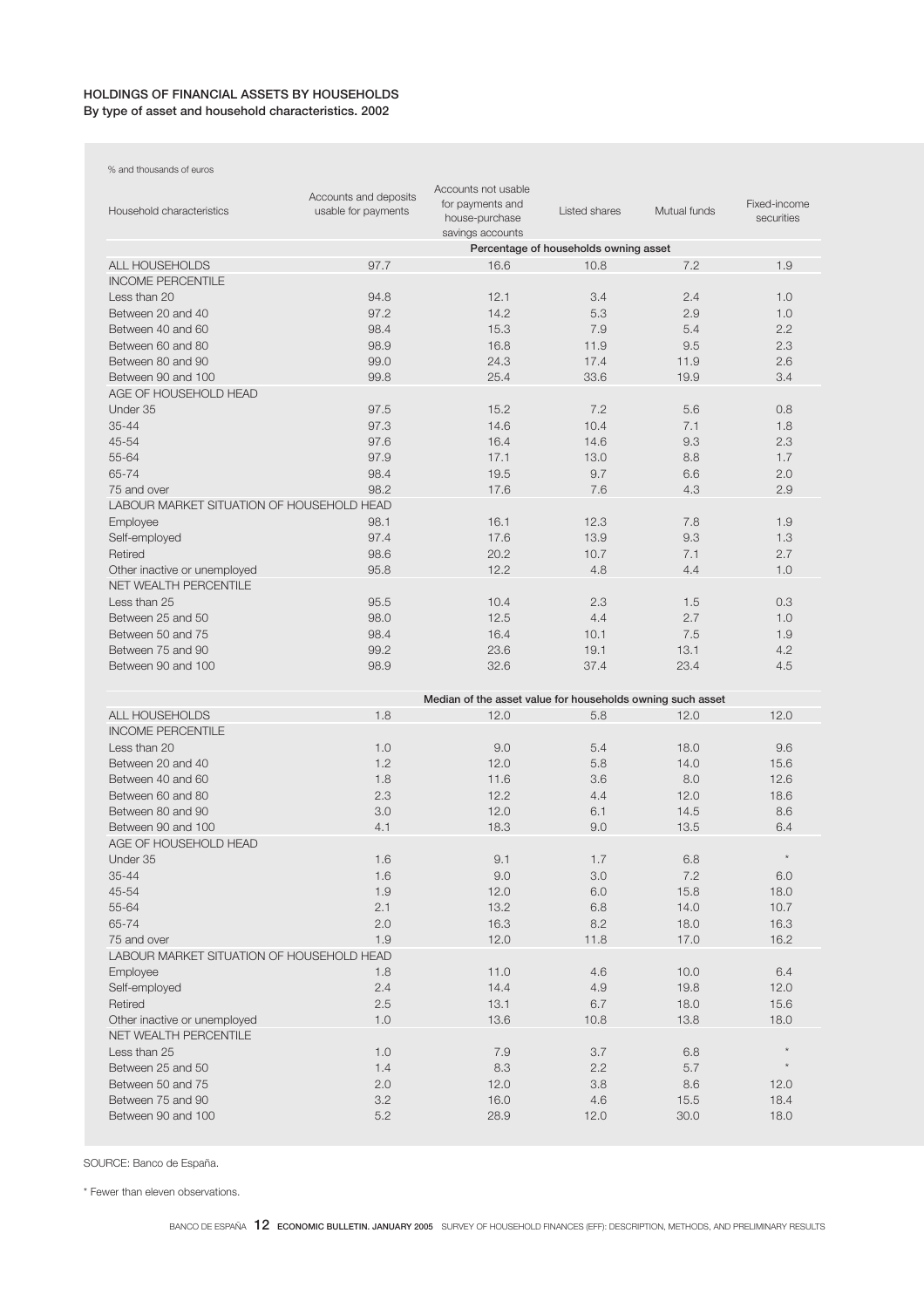# HOLDINGS OF FINANCIAL ASSETS BY HOUSEHOLDS By type of asset and household characteristics. 2002

% and thousands of euros

| Household characteristics                 | Accounts and deposits<br>usable for payments | Accounts not usable<br>for payments and<br>house-purchase<br>savings accounts | Listed shares                         | Mutual funds | Fixed-income<br>securities |
|-------------------------------------------|----------------------------------------------|-------------------------------------------------------------------------------|---------------------------------------|--------------|----------------------------|
|                                           |                                              |                                                                               | Percentage of households owning asset |              |                            |
| <b>ALL HOUSEHOLDS</b>                     | 97.7                                         | 16.6                                                                          | 10.8                                  | 7.2          | 1.9                        |
| <b>INCOME PERCENTILE</b>                  |                                              |                                                                               |                                       |              |                            |
| Less than 20                              | 94.8                                         | 12.1                                                                          | 3.4                                   | 2.4          | 1.0                        |
| Between 20 and 40                         | 97.2                                         | 14.2                                                                          | 5.3                                   | 2.9          | 1.0                        |
| Between 40 and 60                         | 98.4                                         | 15.3                                                                          | 7.9                                   | 5.4          | 2.2                        |
| Between 60 and 80                         | 98.9                                         | 16.8                                                                          | 11.9                                  | 9.5          | 2.3                        |
| Between 80 and 90                         | 99.0                                         | 24.3                                                                          | 17.4                                  | 11.9         | 2.6                        |
| Between 90 and 100                        | 99.8                                         | 25.4                                                                          | 33.6                                  | 19.9         | 3.4                        |
| AGE OF HOUSEHOLD HEAD                     |                                              |                                                                               |                                       |              |                            |
| Under 35                                  | 97.5                                         | 15.2                                                                          | 7.2                                   | 5.6          | 0.8                        |
| 35-44                                     | 97.3                                         | 14.6                                                                          | 10.4                                  | 7.1          | 1.8                        |
| 45-54                                     | 97.6                                         | 16.4                                                                          | 14.6                                  | 9.3          | 2.3                        |
| 55-64                                     | 97.9                                         | 17.1                                                                          | 13.0                                  | 8.8          | 1.7                        |
| 65-74                                     | 98.4                                         | 19.5                                                                          | 9.7                                   |              |                            |
| 75 and over                               | 98.2                                         | 17.6                                                                          | 7.6                                   | 6.6<br>4.3   | 2.0<br>2.9                 |
| LABOUR MARKET SITUATION OF HOUSEHOLD HEAD |                                              |                                                                               |                                       |              |                            |
|                                           |                                              |                                                                               |                                       |              |                            |
| Employee                                  | 98.1                                         | 16.1                                                                          | 12.3                                  | 7.8          | 1.9                        |
| Self-employed                             | 97.4                                         | 17.6                                                                          | 13.9                                  | 9.3          | 1.3                        |
| Retired                                   | 98.6                                         | 20.2                                                                          | 10.7                                  | 7.1          | 2.7                        |
| Other inactive or unemployed              | 95.8                                         | 12.2                                                                          | 4.8                                   | 4.4          | 1.0                        |
| <b>NET WEALTH PERCENTILE</b>              |                                              |                                                                               |                                       |              |                            |
| Less than 25                              | 95.5                                         | 10.4                                                                          | 2.3                                   | 1.5          | 0.3                        |
| Between 25 and 50                         | 98.0                                         | 12.5                                                                          | 4.4                                   | 2.7          | 1.0                        |
| Between 50 and 75                         | 98.4                                         | 16.4                                                                          | 10.1                                  | 7.5          | 1.9                        |
| Between 75 and 90                         | 99.2                                         | 23.6                                                                          | 19.1                                  | 13.1         | 4.2                        |
| Between 90 and 100                        | 98.9                                         | 32.6                                                                          | 37.4                                  | 23.4         | 4.5                        |
|                                           |                                              |                                                                               |                                       |              |                            |
| <b>ALL HOUSEHOLDS</b>                     | 1.8                                          | Median of the asset value for households owning such asset<br>12.0            | 5.8                                   | 12.0         | 12.0                       |
| <b>INCOME PERCENTILE</b>                  |                                              |                                                                               |                                       |              |                            |
| Less than 20                              | 1.0                                          | 9.0                                                                           | 5.4                                   | 18.0         | 9.6                        |
| Between 20 and 40                         | 1.2                                          | 12.0                                                                          | 5.8                                   | 14.0         | 15.6                       |
| Between 40 and 60                         | 1.8                                          | 11.6                                                                          | 3.6                                   | 8.0          | 12.6                       |
| Between 60 and 80                         | 2.3                                          | 12.2                                                                          | 4.4                                   | 12.0         | 18.6                       |
| Between 80 and 90                         | 3.0                                          | 12.0                                                                          | 6.1                                   | 14.5         | 8.6                        |
| Between 90 and 100                        | 4.1                                          | 18.3                                                                          | 9.0                                   | 13.5         | 6.4                        |
| AGE OF HOUSEHOLD HEAD                     |                                              |                                                                               |                                       |              |                            |
| Under 35                                  | 1.6                                          | 9.1                                                                           | 1.7                                   | 6.8          |                            |
| $35 - 44$                                 |                                              |                                                                               |                                       |              |                            |
|                                           | 1.6                                          | $9.0\,$                                                                       | $3.0\,$                               | 7.2          | 6.0                        |
| 45-54                                     | 1.9                                          | 12.0                                                                          | 6.0                                   | 15.8         | 18.0                       |
| 55-64                                     | 2.1                                          | 13.2                                                                          | $6.8\,$                               | 14.0         | 10.7                       |
| 65-74                                     | $2.0\,$                                      | 16.3                                                                          | 8.2                                   | 18.0         | 16.3                       |
| 75 and over                               | 1.9                                          | 12.0                                                                          | 11.8                                  | 17.0         | 16.2                       |
| LABOUR MARKET SITUATION OF HOUSEHOLD HEAD |                                              |                                                                               |                                       |              |                            |
| Employee                                  | 1.8                                          | 11.0                                                                          | 4.6                                   | 10.0         | 6.4                        |
| Self-employed                             | 2.4                                          | 14.4                                                                          | 4.9                                   | 19.8         | 12.0                       |
| Retired                                   | 2.5                                          | 13.1                                                                          | 6.7                                   | 18.0         | 15.6                       |
| Other inactive or unemployed              | 1.0                                          | 13.6                                                                          | 10.8                                  | 13.8         | 18.0                       |
| NET WEALTH PERCENTILE                     |                                              |                                                                               |                                       |              |                            |
| Less than 25                              | 1.0                                          | 7.9                                                                           | 3.7                                   | 6.8          | $\star$                    |
| Between 25 and 50                         | 1.4                                          | 8.3                                                                           | 2.2                                   | 5.7          |                            |
| Between 50 and 75                         | $2.0\,$                                      | 12.0                                                                          | 3.8                                   | 8.6          | 12.0                       |
| Between 75 and 90                         | 3.2                                          | 16.0                                                                          | 4.6                                   | 15.5         | 18.4                       |
| Between 90 and 100                        | 5.2                                          | 28.9                                                                          | 12.0                                  | 30.0         | 18.0                       |
|                                           |                                              |                                                                               |                                       |              |                            |

SOURCE: Banco de España.

\* Fewer than eleven observations.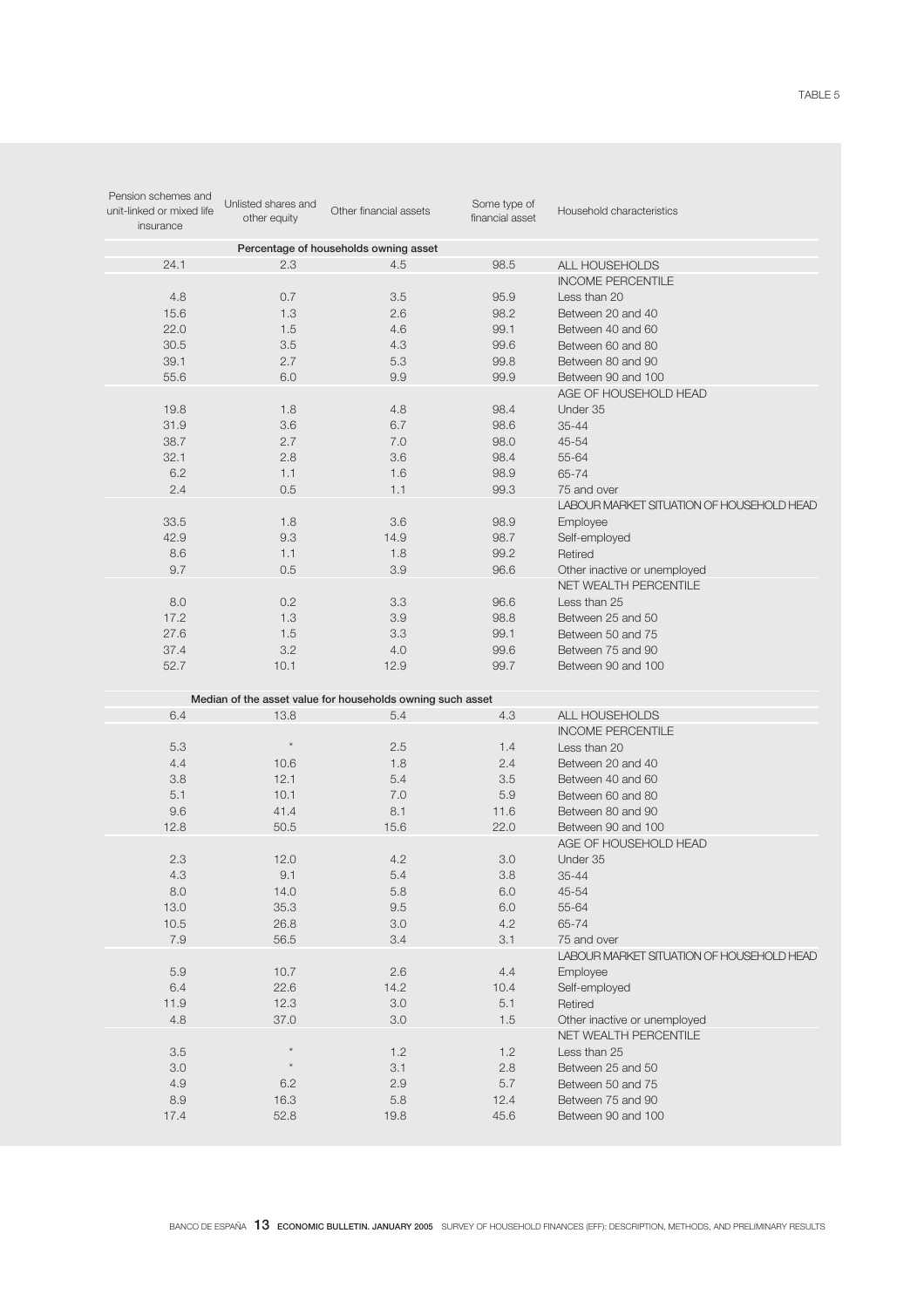| Pension schemes and<br>unit-linked or mixed life<br>insurance | Unlisted shares and<br>other equity | Other financial assets                                     | Some type of<br>financial asset | Household characteristics                 |
|---------------------------------------------------------------|-------------------------------------|------------------------------------------------------------|---------------------------------|-------------------------------------------|
|                                                               |                                     | Percentage of households owning asset                      |                                 |                                           |
| 24.1                                                          | 2.3                                 | 4.5                                                        | 98.5                            | ALL HOUSEHOLDS                            |
|                                                               |                                     |                                                            |                                 | <b>INCOME PERCENTILE</b>                  |
| 4.8                                                           | 0.7                                 | 3.5                                                        | 95.9                            | Less than 20                              |
| 15.6                                                          | 1.3                                 | 2.6                                                        | 98.2                            | Between 20 and 40                         |
| 22.0                                                          | 1.5                                 | 4.6                                                        | 99.1                            | Between 40 and 60                         |
| 30.5                                                          | 3.5                                 | 4.3                                                        | 99.6                            | Between 60 and 80                         |
| 39.1                                                          | 2.7                                 | 5.3                                                        | 99.8                            | Between 80 and 90                         |
| 55.6                                                          | 6.0                                 | 9.9                                                        | 99.9                            | Between 90 and 100                        |
|                                                               |                                     |                                                            |                                 | AGE OF HOUSEHOLD HEAD                     |
| 19.8                                                          | 1.8                                 | 4.8                                                        | 98.4                            | Under 35                                  |
| 31.9                                                          | 3.6                                 | 6.7                                                        | 98.6                            | $35 - 44$                                 |
| 38.7                                                          | 2.7                                 | 7.0                                                        | 98.0                            | 45-54                                     |
| 32.1                                                          | 2.8                                 | 3.6                                                        | 98.4                            | 55-64                                     |
|                                                               |                                     |                                                            |                                 |                                           |
| 6.2                                                           | 1.1                                 | 1.6                                                        | 98.9                            | 65-74                                     |
| 2.4                                                           | 0.5                                 | 1.1                                                        | 99.3                            | 75 and over                               |
|                                                               |                                     |                                                            |                                 | LABOUR MARKET SITUATION OF HOUSEHOLD HEAD |
| 33.5                                                          | 1.8                                 | 3.6                                                        | 98.9                            | Employee                                  |
| 42.9                                                          | 9.3                                 | 14.9                                                       | 98.7                            | Self-employed                             |
| 8.6                                                           | 1.1                                 | 1.8                                                        | 99.2                            | Retired                                   |
| 9.7                                                           | 0.5                                 | 3.9                                                        | 96.6                            | Other inactive or unemployed              |
|                                                               |                                     |                                                            |                                 | <b>NET WEALTH PERCENTILE</b>              |
| 8.0                                                           | 0.2                                 | 3.3                                                        | 96.6                            | Less than 25                              |
| 17.2                                                          | 1.3                                 | 3.9                                                        | 98.8                            | Between 25 and 50                         |
| 27.6                                                          | 1.5                                 | 3.3                                                        | 99.1                            | Between 50 and 75                         |
| 37.4                                                          | 3.2                                 | 4.0                                                        | 99.6                            | Between 75 and 90                         |
| 52.7                                                          | 10.1                                | 12.9                                                       | 99.7                            | Between 90 and 100                        |
|                                                               |                                     |                                                            |                                 |                                           |
|                                                               |                                     | Median of the asset value for households owning such asset |                                 |                                           |
| 6.4                                                           | 13.8                                | 5.4                                                        | 4.3                             | ALL HOUSEHOLDS                            |
|                                                               |                                     |                                                            |                                 | <b>INCOME PERCENTILE</b>                  |
| 5.3                                                           | $\star$                             | 2.5                                                        | 1.4                             | Less than 20                              |
| 4.4                                                           | 10.6                                | 1.8                                                        | 2.4                             | Between 20 and 40                         |
| 3.8                                                           | 12.1                                | 5.4                                                        | 3.5                             | Between 40 and 60                         |
| 5.1                                                           | 10.1                                | 7.0                                                        | 5.9                             | Between 60 and 80                         |
| 9.6                                                           | 41.4                                | 8.1                                                        | 11.6                            | Between 80 and 90                         |
| 12.8                                                          | 50.5                                | 15.6                                                       | 22.0                            | Between 90 and 100                        |
|                                                               |                                     |                                                            |                                 | AGE OF HOUSEHOLD HEAD                     |
| 2.3                                                           | 12.0                                | 4.2                                                        | 3.0                             | Under 35                                  |
| 4.3                                                           | 9.1                                 | 5.4                                                        | 3.8                             | $35 - 44$                                 |
| 8.0                                                           | 14.0                                | 5.8                                                        | 6.0                             | 45-54                                     |
| 13.0                                                          | 35.3                                | $9.5\,$                                                    | $6.0\,$                         | 55-64                                     |
| 10.5                                                          | 26.8                                | $3.0\,$                                                    | 4.2                             | 65-74                                     |
| 7.9                                                           | 56.5                                | 3.4                                                        | 3.1                             | 75 and over                               |
|                                                               |                                     |                                                            |                                 | LABOUR MARKET SITUATION OF HOUSEHOLD HEAD |
| 5.9                                                           | 10.7                                | 2.6                                                        | 4.4                             | Employee                                  |
| 6.4                                                           |                                     |                                                            |                                 |                                           |
|                                                               | 22.6                                | 14.2                                                       | 10.4                            | Self-employed<br>Retired                  |
| 11.9                                                          | 12.3                                | 3.0                                                        | 5.1                             |                                           |
| 4.8                                                           | 37.0                                | 3.0                                                        | 1.5                             | Other inactive or unemployed              |
|                                                               |                                     |                                                            |                                 | NET WEALTH PERCENTILE                     |
| 3.5                                                           |                                     | 1.2                                                        | 1.2                             | Less than 25                              |
| 3.0                                                           | $\star$                             | 3.1                                                        | $2.8\,$                         | Between 25 and 50                         |
| 4.9                                                           | 6.2                                 | 2.9                                                        | 5.7                             | Between 50 and 75                         |
| 8.9                                                           | 16.3                                | 5.8                                                        | 12.4                            | Between 75 and 90                         |
| 17.4                                                          | 52.8                                | 19.8                                                       | 45.6                            | Between 90 and 100                        |
|                                                               |                                     |                                                            |                                 |                                           |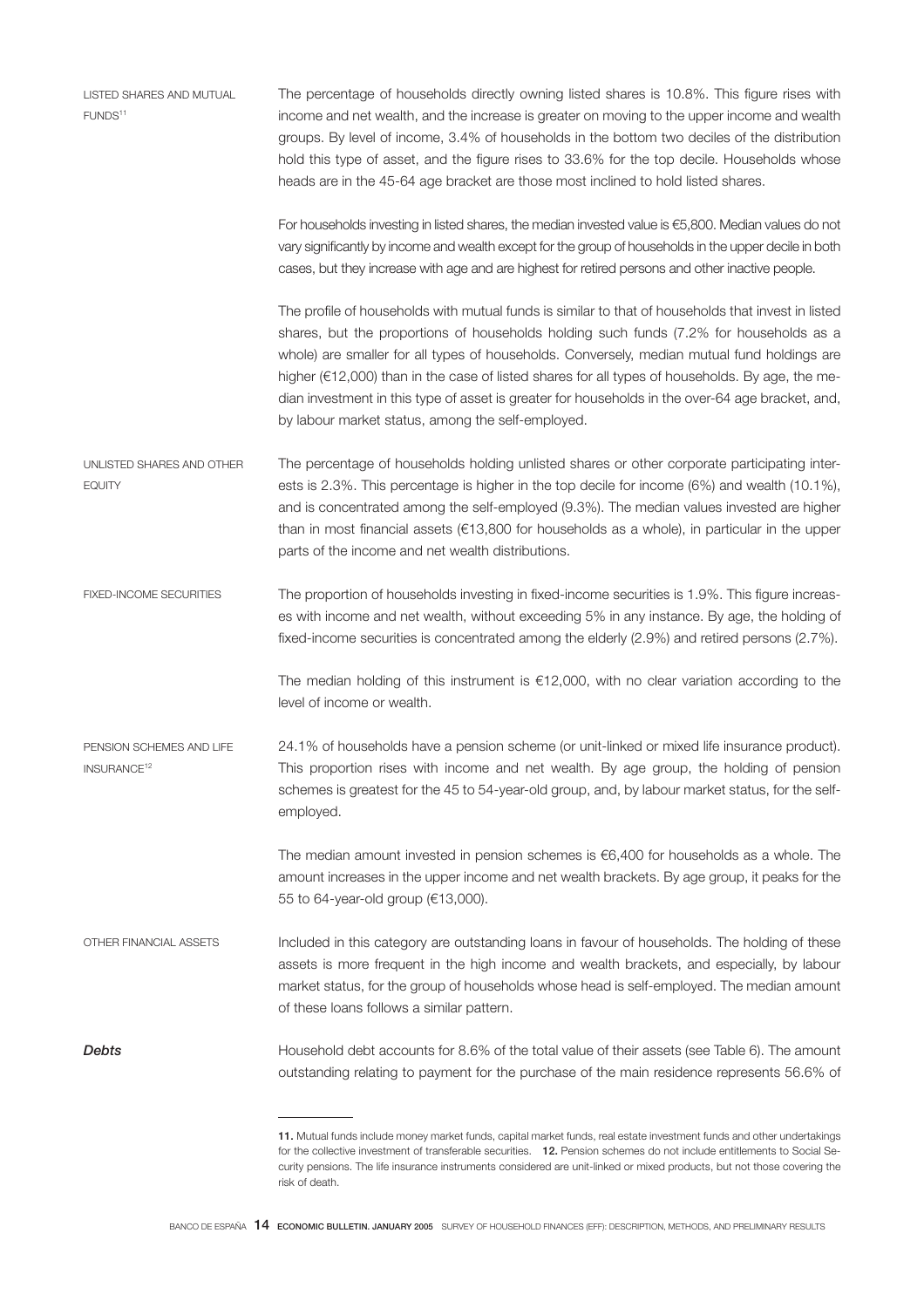| LISTED SHARES AND MUTUAL<br>FUNDS <sup>11</sup>     | The percentage of households directly owning listed shares is 10.8%. This figure rises with<br>income and net wealth, and the increase is greater on moving to the upper income and wealth<br>groups. By level of income, 3.4% of households in the bottom two deciles of the distribution<br>hold this type of asset, and the figure rises to 33.6% for the top decile. Households whose<br>heads are in the 45-64 age bracket are those most inclined to hold listed shares.                                                                          |
|-----------------------------------------------------|---------------------------------------------------------------------------------------------------------------------------------------------------------------------------------------------------------------------------------------------------------------------------------------------------------------------------------------------------------------------------------------------------------------------------------------------------------------------------------------------------------------------------------------------------------|
|                                                     | For households investing in listed shares, the median invested value is $65,800$ . Median values do not<br>vary significantly by income and wealth except for the group of households in the upper decile in both<br>cases, but they increase with age and are highest for retired persons and other inactive people.                                                                                                                                                                                                                                   |
|                                                     | The profile of households with mutual funds is similar to that of households that invest in listed<br>shares, but the proportions of households holding such funds (7.2% for households as a<br>whole) are smaller for all types of households. Conversely, median mutual fund holdings are<br>higher (€12,000) than in the case of listed shares for all types of households. By age, the me-<br>dian investment in this type of asset is greater for households in the over-64 age bracket, and,<br>by labour market status, among the self-employed. |
| UNLISTED SHARES AND OTHER<br><b>EQUITY</b>          | The percentage of households holding unlisted shares or other corporate participating inter-<br>ests is 2.3%. This percentage is higher in the top decile for income (6%) and wealth (10.1%),<br>and is concentrated among the self-employed (9.3%). The median values invested are higher<br>than in most financial assets ( $\epsilon$ 13,800 for households as a whole), in particular in the upper<br>parts of the income and net wealth distributions.                                                                                             |
| <b>FIXED-INCOME SECURITIES</b>                      | The proportion of households investing in fixed-income securities is 1.9%. This figure increas-<br>es with income and net wealth, without exceeding 5% in any instance. By age, the holding of<br>fixed-income securities is concentrated among the elderly (2.9%) and retired persons (2.7%).                                                                                                                                                                                                                                                          |
|                                                     | The median holding of this instrument is $£12,000$ , with no clear variation according to the<br>level of income or wealth.                                                                                                                                                                                                                                                                                                                                                                                                                             |
| PENSION SCHEMES AND LIFE<br>INSURANCE <sup>12</sup> | 24.1% of households have a pension scheme (or unit-linked or mixed life insurance product).<br>This proportion rises with income and net wealth. By age group, the holding of pension<br>schemes is greatest for the 45 to 54-year-old group, and, by labour market status, for the self-<br>employed.                                                                                                                                                                                                                                                  |
|                                                     | The median amount invested in pension schemes is $\epsilon$ 6,400 for households as a whole. The<br>amount increases in the upper income and net wealth brackets. By age group, it peaks for the<br>55 to 64-year-old group (€13,000).                                                                                                                                                                                                                                                                                                                  |
| OTHER FINANCIAL ASSETS                              | Included in this category are outstanding loans in favour of households. The holding of these<br>assets is more frequent in the high income and wealth brackets, and especially, by labour<br>market status, for the group of households whose head is self-employed. The median amount<br>of these loans follows a similar pattern.                                                                                                                                                                                                                    |
| Debts                                               | Household debt accounts for 8.6% of the total value of their assets (see Table 6). The amount<br>outstanding relating to payment for the purchase of the main residence represents 56.6% of                                                                                                                                                                                                                                                                                                                                                             |
|                                                     |                                                                                                                                                                                                                                                                                                                                                                                                                                                                                                                                                         |

<sup>11.</sup> Mutual funds include money market funds, capital market funds, real estate investment funds and other undertakings for the collective investment of transferable securities. 12. Pension schemes do not include entitlements to Social Security pensions. The life insurance instruments considered are unit-linked or mixed products, but not those covering the risk of death.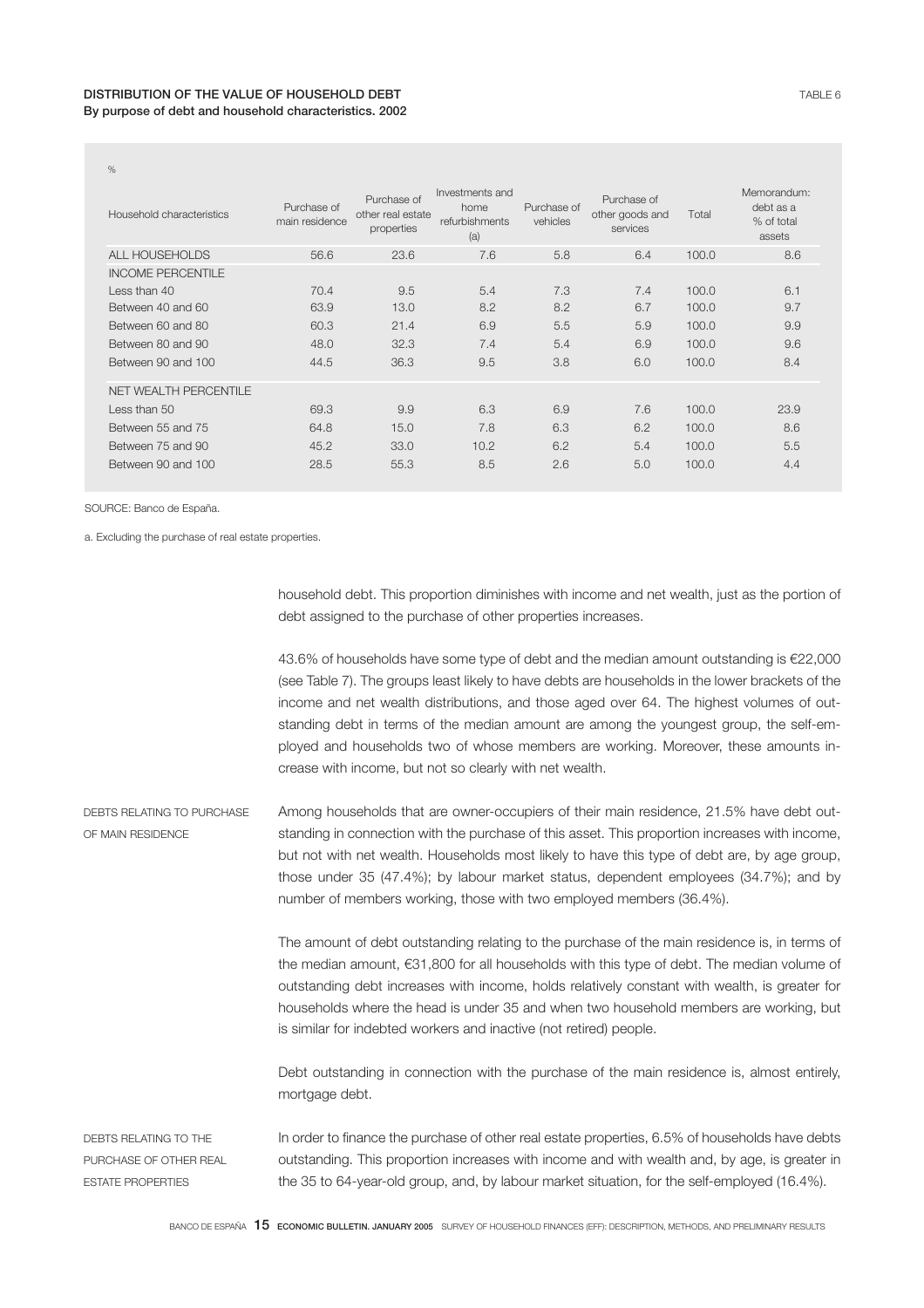| %                         |                               |                                                |                                                  |                         |                                            |       |                                                  |
|---------------------------|-------------------------------|------------------------------------------------|--------------------------------------------------|-------------------------|--------------------------------------------|-------|--------------------------------------------------|
| Household characteristics | Purchase of<br>main residence | Purchase of<br>other real estate<br>properties | Investments and<br>home<br>refurbishments<br>(a) | Purchase of<br>vehicles | Purchase of<br>other goods and<br>services | Total | Memorandum:<br>debt as a<br>% of total<br>assets |
| ALL HOUSEHOLDS            | 56.6                          | 23.6                                           | 7.6                                              | 5.8                     | 6.4                                        | 100.0 | 8.6                                              |
| <b>INCOME PERCENTILE</b>  |                               |                                                |                                                  |                         |                                            |       |                                                  |
| Less than $40$            | 70.4                          | 9.5                                            | 5.4                                              | 7.3                     | 7.4                                        | 100.0 | 6.1                                              |
| Between 40 and 60         | 63.9                          | 13.0                                           | 8.2                                              | 8.2                     | 6.7                                        | 100.0 | 9.7                                              |
| Between 60 and 80         | 60.3                          | 21.4                                           | 6.9                                              | 5.5                     | 5.9                                        | 100.0 | 9.9                                              |
| Between 80 and 90         | 48.0                          | 32.3                                           | 7.4                                              | 5.4                     | 6.9                                        | 100.0 | 9.6                                              |
| Between 90 and 100        | 44.5                          | 36.3                                           | 9.5                                              | 3.8                     | 6.0                                        | 100.0 | 8.4                                              |
| NET WEALTH PERCENTILE     |                               |                                                |                                                  |                         |                                            |       |                                                  |
| Less than 50              | 69.3                          | 9.9                                            | 6.3                                              | 6.9                     | 7.6                                        | 100.0 | 23.9                                             |
| Between 55 and 75         | 64.8                          | 15.0                                           | 7.8                                              | 6.3                     | 6.2                                        | 100.0 | 8.6                                              |
| Between 75 and 90         | 45.2                          | 33.0                                           | 10.2                                             | 6.2                     | 5.4                                        | 100.0 | 5.5                                              |
| Between 90 and 100        | 28.5                          | 55.3                                           | 8.5                                              | 2.6                     | 5.0                                        | 100.0 | 4.4                                              |
|                           |                               |                                                |                                                  |                         |                                            |       |                                                  |

SOURCE: Banco de España.

a. Excluding the purchase of real estate properties.

household debt. This proportion diminishes with income and net wealth, just as the portion of debt assigned to the purchase of other properties increases.

43.6% of households have some type of debt and the median amount outstanding is €22,000 (see Table 7). The groups least likely to have debts are households in the lower brackets of the income and net wealth distributions, and those aged over 64. The highest volumes of outstanding debt in terms of the median amount are among the youngest group, the self-employed and households two of whose members are working. Moreover, these amounts increase with income, but not so clearly with net wealth.

DEBTS RELATING TO PURCHASE OF MAIN RESIDENCE Among households that are owner-occupiers of their main residence, 21.5% have debt outstanding in connection with the purchase of this asset. This proportion increases with income, but not with net wealth. Households most likely to have this type of debt are, by age group, those under 35 (47.4%); by labour market status, dependent employees (34.7%); and by number of members working, those with two employed members (36.4%).

> The amount of debt outstanding relating to the purchase of the main residence is, in terms of the median amount, €31,800 for all households with this type of debt. The median volume of outstanding debt increases with income, holds relatively constant with wealth, is greater for households where the head is under 35 and when two household members are working, but is similar for indebted workers and inactive (not retired) people.

> Debt outstanding in connection with the purchase of the main residence is, almost entirely, mortgage debt.

DEBTS RELATING TO THE PURCHASE OF OTHER REAL ESTATE PROPERTIES In order to finance the purchase of other real estate properties, 6.5% of households have debts outstanding. This proportion increases with income and with wealth and, by age, is greater in the 35 to 64-year-old group, and, by labour market situation, for the self-employed (16.4%).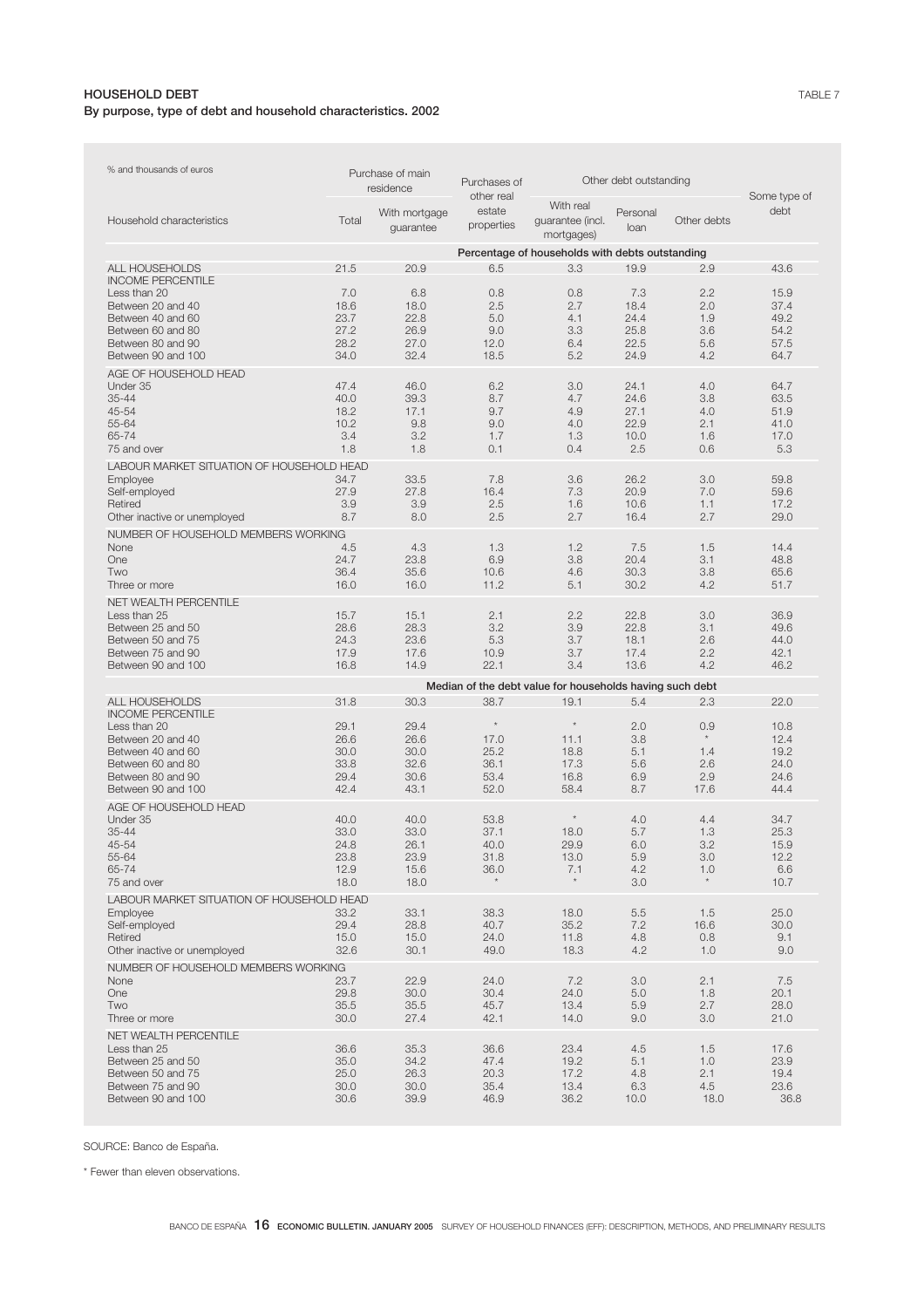## HOUSEHOLD DEBT By purpose, type of debt and household characteristics. 2002

| % and thousands of euros                  |              | Purchase of main<br>residence | Purchases of<br>other real | Other debt outstanding                                   | Some type of     |             |              |
|-------------------------------------------|--------------|-------------------------------|----------------------------|----------------------------------------------------------|------------------|-------------|--------------|
| Household characteristics                 | Total        | With mortgage<br>guarantee    | estate<br>properties       | With real<br>guarantee (incl.<br>mortgages)              | Personal<br>loan | Other debts | debt         |
|                                           |              |                               |                            | Percentage of households with debts outstanding          |                  |             |              |
| ALL HOUSEHOLDS                            | 21.5         | 20.9                          | 6.5                        | 3.3                                                      | 19.9             | 2.9         | 43.6         |
| <b>INCOME PERCENTILE</b>                  |              |                               |                            |                                                          |                  |             |              |
| Less than 20                              | 7.0          | 6.8                           | 0.8                        | 0.8                                                      | 7.3              | 2.2         | 15.9         |
| Between 20 and 40                         | 18.6         | 18.0                          | 2.5                        | 2.7                                                      | 18.4             | 2.0         | 37.4         |
| Between 40 and 60                         | 23.7         | 22.8                          | 5.0                        | 4.1                                                      | 24.4             | 1.9         | 49.2         |
| Between 60 and 80<br>Between 80 and 90    | 27.2<br>28.2 | 26.9<br>27.0                  | 9.0<br>12.0                | 3.3<br>6.4                                               | 25.8<br>22.5     | 3.6<br>5.6  | 54.2<br>57.5 |
| Between 90 and 100                        | 34.0         | 32.4                          | 18.5                       | 5.2                                                      | 24.9             | 4.2         | 64.7         |
| AGE OF HOUSEHOLD HEAD                     |              |                               |                            |                                                          |                  |             |              |
| Under 35                                  | 47.4         | 46.0                          | 6.2                        | 3.0                                                      | 24.1             | 4.0         | 64.7         |
| $35 - 44$                                 | 40.0         | 39.3                          | 8.7                        | 4.7                                                      | 24.6             | 3.8         | 63.5         |
| 45-54                                     | 18.2         | 17.1                          | 9.7                        | 4.9                                                      | 27.1             | 4.0         | 51.9         |
| 55-64                                     | 10.2         | 9.8                           | 9.0                        | 4.0                                                      | 22.9             | 2.1         | 41.0         |
| 65-74                                     | 3.4          | 3.2                           | 1.7                        | 1.3                                                      | 10.0             | 1.6         | 17.0         |
| 75 and over                               | 1.8          | 1.8                           | 0.1                        | 0.4                                                      | 2.5              | 0.6         | 5.3          |
| LABOUR MARKET SITUATION OF HOUSEHOLD HEAD |              |                               |                            |                                                          |                  |             |              |
| Employee<br>Self-employed                 | 34.7<br>27.9 | 33.5<br>27.8                  | 7.8<br>16.4                | 3.6<br>7.3                                               | 26.2<br>20.9     | 3.0<br>7.0  | 59.8<br>59.6 |
| Retired                                   | 3.9          | 3.9                           | 2.5                        | 1.6                                                      | 10.6             | 1.1         | 17.2         |
| Other inactive or unemployed              | 8.7          | 8.0                           | 2.5                        | 2.7                                                      | 16.4             | 2.7         | 29.0         |
| NUMBER OF HOUSEHOLD MEMBERS WORKING       |              |                               |                            |                                                          |                  |             |              |
| None                                      | 4.5          | 4.3                           | 1.3                        | 1.2                                                      | 7.5              | 1.5         | 14.4         |
| One                                       | 24.7         | 23.8                          | 6.9                        | 3.8                                                      | 20.4             | 3.1         | 48.8         |
| Two                                       | 36.4         | 35.6                          | 10.6                       | 4.6                                                      | 30.3             | 3.8         | 65.6         |
| Three or more                             | 16.0         | 16.0                          | 11.2                       | 5.1                                                      | 30.2             | 4.2         | 51.7         |
| <b>NET WEALTH PERCENTILE</b>              |              |                               |                            |                                                          |                  |             |              |
| Less than 25<br>Between 25 and 50         | 15.7<br>28.6 | 15.1<br>28.3                  | 2.1<br>3.2                 | 2.2<br>3.9                                               | 22.8<br>22.8     | 3.0<br>3.1  | 36.9<br>49.6 |
| Between 50 and 75                         | 24.3         | 23.6                          | 5.3                        | 3.7                                                      | 18.1             | 2.6         | 44.0         |
| Between 75 and 90                         | 17.9         | 17.6                          | 10.9                       | 3.7                                                      | 17.4             | 2.2         | 42.1         |
| Between 90 and 100                        | 16.8         | 14.9                          | 22.1                       | 3.4                                                      | 13.6             | 4.2         | 46.2         |
|                                           |              |                               |                            | Median of the debt value for households having such debt |                  |             |              |
| ALL HOUSEHOLDS                            | 31.8         | 30.3                          | 38.7                       | 19.1                                                     | 5.4              | 2.3         | 22.0         |
| <b>INCOME PERCENTILE</b>                  |              |                               |                            |                                                          |                  |             |              |
| Less than 20                              | 29.1         | 29.4                          | $\star$                    | $\star$                                                  | 2.0              | 0.9         | 10.8         |
| Between 20 and 40                         | 26.6         | 26.6                          | 17.0                       | 11.1                                                     | 3.8              |             | 12.4         |
| Between 40 and 60<br>Between 60 and 80    | 30.0<br>33.8 | 30.0<br>32.6                  | 25.2<br>36.1               | 18.8<br>17.3                                             | 5.1<br>5.6       | 1.4<br>2.6  | 19.2<br>24.0 |
| Between 80 and 90                         | 29.4         | 30.6                          | 53.4                       | 16.8                                                     | 6.9              | 2.9         | 24.6         |
| Between 90 and 100                        | 42.4         | 43.1                          | 52.0                       | 58.4                                                     | 8.7              | 17.6        | 44.4         |
| AGE OF HOUSEHOLD HEAD                     |              |                               |                            |                                                          |                  |             |              |
| Under 35                                  | 40.0         | 40.0                          | 53.8                       | $\star$                                                  | 4.0              | 4.4         | 34.7         |
| $35 - 44$                                 | 33.0         | 33.0                          | 37.1                       | 18.0                                                     | 5.7              | 1.3         | 25.3         |
| 45-54                                     | 24.8         | 26.1                          | 40.0                       | 29.9                                                     | 6.0              | 3.2         | 15.9         |
| 55-64<br>65-74                            | 23.8<br>12.9 | 23.9<br>15.6                  | 31.8<br>36.0               | 13.0<br>7.1                                              | 5.9<br>4.2       | 3.0<br>1.0  | 12.2<br>6.6  |
| 75 and over                               | 18.0         | 18.0                          |                            |                                                          | 3.0              |             | 10.7         |
| LABOUR MARKET SITUATION OF HOUSEHOLD HEAD |              |                               |                            |                                                          |                  |             |              |
| Employee                                  | 33.2         | 33.1                          | 38.3                       | 18.0                                                     | 5.5              | 1.5         | 25.0         |
| Self-employed                             | 29.4         | 28.8                          | 40.7                       | 35.2                                                     | 7.2              | 16.6        | 30.0         |
| Retired                                   | 15.0         | 15.0                          | 24.0                       | 11.8                                                     | 4.8              | 0.8         | 9.1          |
| Other inactive or unemployed              | 32.6         | 30.1                          | 49.0                       | 18.3                                                     | 4.2              | 1.0         | 9.0          |
| NUMBER OF HOUSEHOLD MEMBERS WORKING       |              |                               |                            |                                                          |                  |             |              |
| None                                      | 23.7         | 22.9                          | 24.0                       | 7.2                                                      | 3.0              | 2.1         | 7.5          |
| One                                       | 29.8         | 30.0                          | 30.4                       | 24.0                                                     | 5.0              | 1.8         | 20.1         |
| Two<br>Three or more                      | 35.5<br>30.0 | 35.5<br>27.4                  | 45.7<br>42.1               | 13.4<br>14.0                                             | 5.9<br>9.0       | 2.7<br>3.0  | 28.0<br>21.0 |
|                                           |              |                               |                            |                                                          |                  |             |              |
| NET WEALTH PERCENTILE<br>Less than 25     | 36.6         | 35.3                          | 36.6                       | 23.4                                                     | 4.5              | 1.5         | 17.6         |
| Between 25 and 50                         | 35.0         | 34.2                          | 47.4                       | 19.2                                                     | 5.1              | 1.0         | 23.9         |
| Between 50 and 75                         | 25.0         | 26.3                          | 20.3                       | 17.2                                                     | 4.8              | 2.1         | 19.4         |
| Between 75 and 90                         | 30.0         | 30.0                          | 35.4                       | 13.4                                                     | 6.3              | 4.5         | 23.6         |
| Between 90 and 100                        | 30.6         | 39.9                          | 46.9                       | 36.2                                                     | 10.0             | 18.0        | 36.8         |

SOURCE: Banco de España.

\* Fewer than eleven observations.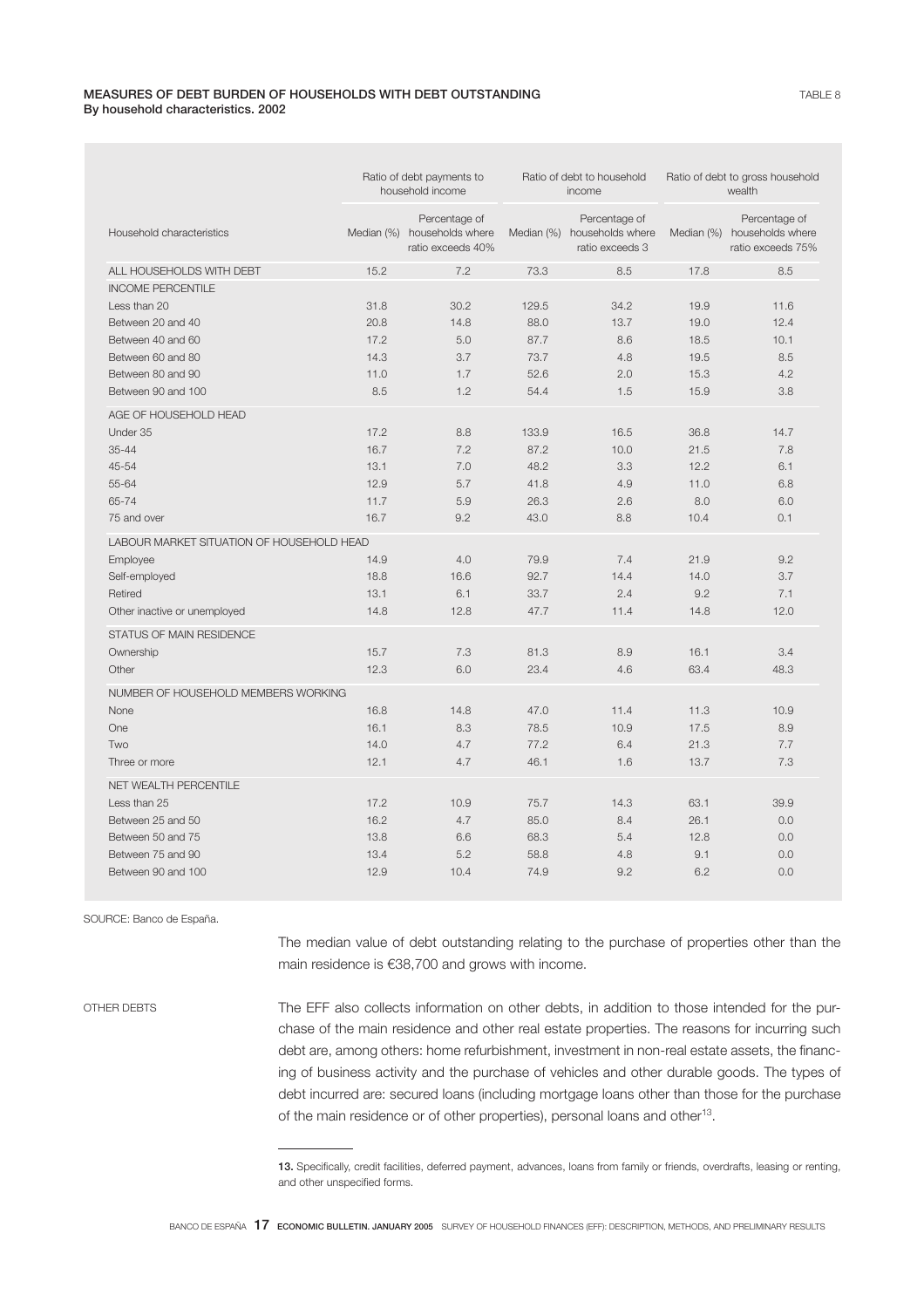### MEASURES OF DEBT BURDEN OF HOUSEHOLDS WITH DEBT OUTSTANDING By household characteristics. 2002

|                                           |      | Ratio of debt payments to<br>household income                     | Ratio of debt to household<br>income |                                                                 | Ratio of debt to gross household<br>wealth |                                                                   |  |
|-------------------------------------------|------|-------------------------------------------------------------------|--------------------------------------|-----------------------------------------------------------------|--------------------------------------------|-------------------------------------------------------------------|--|
| Household characteristics                 |      | Percentage of<br>Median (%) households where<br>ratio exceeds 40% |                                      | Percentage of<br>Median (%) households where<br>ratio exceeds 3 |                                            | Percentage of<br>Median (%) households where<br>ratio exceeds 75% |  |
| ALL HOUSEHOLDS WITH DEBT                  | 15.2 | 7.2                                                               | 73.3                                 | 8.5                                                             | 17.8                                       | 8.5                                                               |  |
| <b>INCOME PERCENTILE</b>                  |      |                                                                   |                                      |                                                                 |                                            |                                                                   |  |
| Less than 20                              | 31.8 | 30.2                                                              | 129.5                                | 34.2                                                            | 19.9                                       | 11.6                                                              |  |
| Between 20 and 40                         | 20.8 | 14.8                                                              | 88.0                                 | 13.7                                                            | 19.0                                       | 12.4                                                              |  |
| Between 40 and 60                         | 17.2 | 5.0                                                               | 87.7                                 | 8.6                                                             | 18.5                                       | 10.1                                                              |  |
| Between 60 and 80                         | 14.3 | 3.7                                                               | 73.7                                 | 4.8                                                             | 19.5                                       | 8.5                                                               |  |
| Between 80 and 90                         | 11.0 | 1.7                                                               | 52.6                                 | 2.0                                                             | 15.3                                       | 4.2                                                               |  |
| Between 90 and 100                        | 8.5  | 1.2                                                               | 54.4                                 | 1.5                                                             | 15.9                                       | 3.8                                                               |  |
| AGE OF HOUSEHOLD HEAD                     |      |                                                                   |                                      |                                                                 |                                            |                                                                   |  |
| Under 35                                  | 17.2 | 8.8                                                               | 133.9                                | 16.5                                                            | 36.8                                       | 14.7                                                              |  |
| $35 - 44$                                 | 16.7 | 7.2                                                               | 87.2                                 | 10.0                                                            | 21.5                                       | 7.8                                                               |  |
| 45-54                                     | 13.1 | 7.0                                                               | 48.2                                 | 3.3                                                             | 12.2                                       | 6.1                                                               |  |
| 55-64                                     | 12.9 | 5.7                                                               | 41.8                                 | 4.9                                                             | 11.0                                       | 6.8                                                               |  |
| 65-74                                     | 11.7 | 5.9                                                               | 26.3                                 | 2.6                                                             | 8.0                                        | 6.0                                                               |  |
| 75 and over                               | 16.7 | 9.2                                                               | 43.0                                 | 8.8                                                             | 10.4                                       | 0.1                                                               |  |
| LABOUR MARKET SITUATION OF HOUSEHOLD HEAD |      |                                                                   |                                      |                                                                 |                                            |                                                                   |  |
| Employee                                  | 14.9 | 4.0                                                               | 79.9                                 | 7.4                                                             | 21.9                                       | 9.2                                                               |  |
| Self-employed                             | 18.8 | 16.6                                                              | 92.7                                 | 14.4                                                            | 14.0                                       | 3.7                                                               |  |
| Retired                                   | 13.1 | 6.1                                                               | 33.7                                 | 2.4                                                             | 9.2                                        | 7.1                                                               |  |
| Other inactive or unemployed              | 14.8 | 12.8                                                              | 47.7                                 | 11.4                                                            | 14.8                                       | 12.0                                                              |  |
| STATUS OF MAIN RESIDENCE                  |      |                                                                   |                                      |                                                                 |                                            |                                                                   |  |
| Ownership                                 | 15.7 | 7.3                                                               | 81.3                                 | 8.9                                                             | 16.1                                       | 3.4                                                               |  |
| Other                                     | 12.3 | 6.0                                                               | 23.4                                 | 4.6                                                             | 63.4                                       | 48.3                                                              |  |
| NUMBER OF HOUSEHOLD MEMBERS WORKING       |      |                                                                   |                                      |                                                                 |                                            |                                                                   |  |
| None                                      | 16.8 | 14.8                                                              | 47.0                                 | 11.4                                                            | 11.3                                       | 10.9                                                              |  |
| One                                       | 16.1 | 8.3                                                               | 78.5                                 | 10.9                                                            | 17.5                                       | 8.9                                                               |  |
| Two                                       | 14.0 | 4.7                                                               | 77.2                                 | 6.4                                                             | 21.3                                       | 7.7                                                               |  |
| Three or more                             | 12.1 | 4.7                                                               | 46.1                                 | 1.6                                                             | 13.7                                       | 7.3                                                               |  |
| NET WEALTH PERCENTILE                     |      |                                                                   |                                      |                                                                 |                                            |                                                                   |  |
| Less than 25                              | 17.2 | 10.9                                                              | 75.7                                 | 14.3                                                            | 63.1                                       | 39.9                                                              |  |
| Between 25 and 50                         | 16.2 | 4.7                                                               | 85.0                                 | 8.4                                                             | 26.1                                       | 0.0                                                               |  |
| Between 50 and 75                         | 13.8 | 6.6                                                               | 68.3                                 | 5.4                                                             | 12.8                                       | 0.0                                                               |  |
| Between 75 and 90                         | 13.4 | 5.2                                                               | 58.8                                 | 4.8                                                             | 9.1                                        | 0.0                                                               |  |
| Between 90 and 100                        | 12.9 | 10.4                                                              | 74.9                                 | 9.2                                                             | 6.2                                        | 0.0                                                               |  |

SOURCE: Banco de España.

The median value of debt outstanding relating to the purchase of properties other than the main residence is €38,700 and grows with income.

OTHER DEBTS The EFF also collects information on other debts, in addition to those intended for the purchase of the main residence and other real estate properties. The reasons for incurring such debt are, among others: home refurbishment, investment in non-real estate assets, the financing of business activity and the purchase of vehicles and other durable goods. The types of debt incurred are: secured loans (including mortgage loans other than those for the purchase of the main residence or of other properties), personal loans and other<sup>13</sup>.

<sup>13.</sup> Specifically, credit facilities, deferred payment, advances, loans from family or friends, overdrafts, leasing or renting, and other unspecified forms.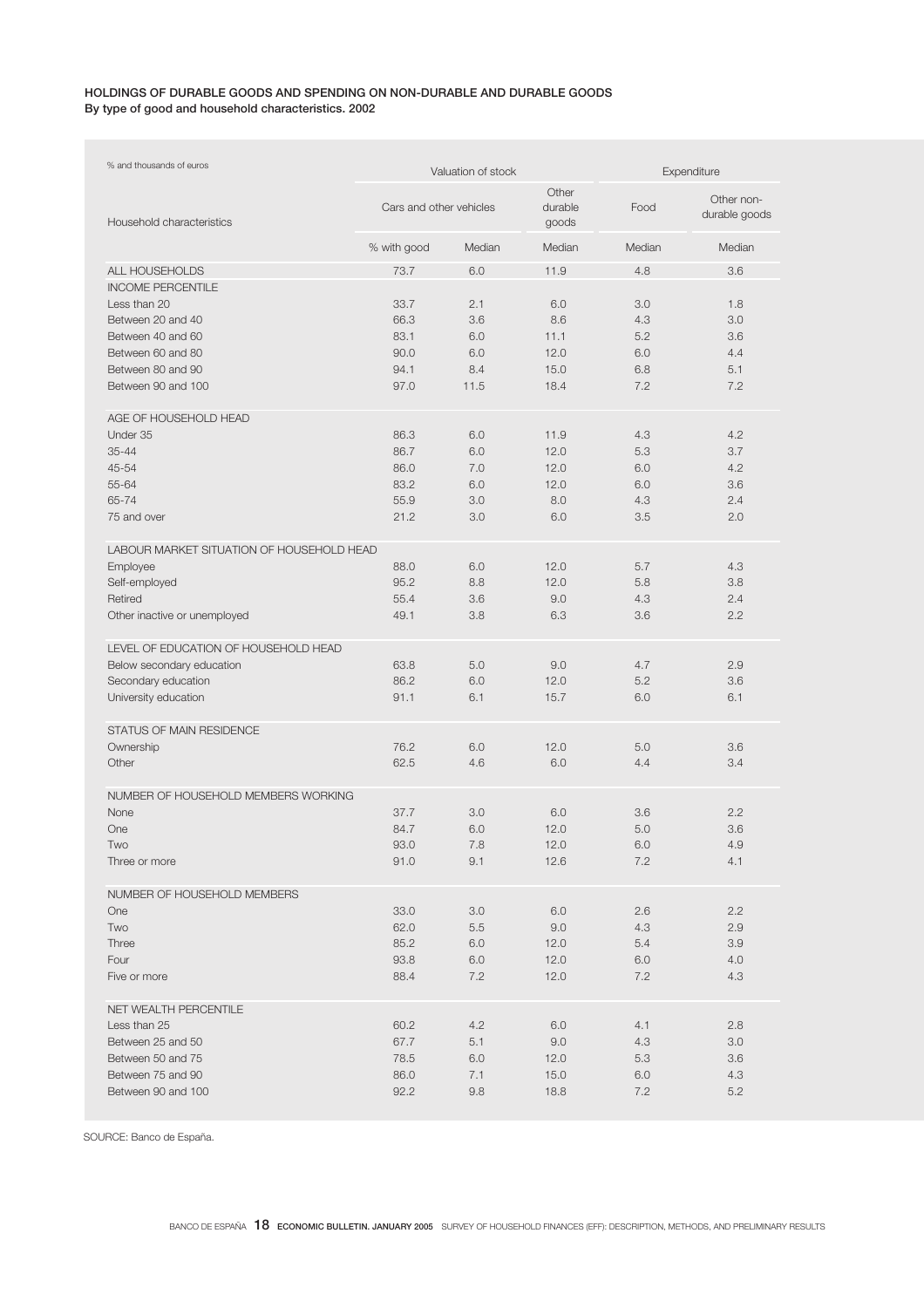### HOLDINGS OF DURABLE GOODS AND SPENDING ON NON-DURABLE AND DURABLE GOODS By type of good and household characteristics. 2002

| % and thousands of euros                  |                         | Valuation of stock | Expenditure               |        |                             |
|-------------------------------------------|-------------------------|--------------------|---------------------------|--------|-----------------------------|
| Household characteristics                 | Cars and other vehicles |                    | Other<br>durable<br>goods | Food   | Other non-<br>durable goods |
|                                           | % with good             | Median             | Median                    | Median | Median                      |
| ALL HOUSEHOLDS                            | 73.7                    | 6.0                | 11.9                      | 4.8    | 3.6                         |
| <b>INCOME PERCENTILE</b>                  |                         |                    |                           |        |                             |
| Less than 20                              | 33.7                    | 2.1                | 6.0                       | 3.0    | 1.8                         |
| Between 20 and 40                         | 66.3                    | 3.6                | 8.6                       | 4.3    | 3.0                         |
| Between 40 and 60                         | 83.1                    | 6.0                | 11.1                      | 5.2    | 3.6                         |
| Between 60 and 80                         | 90.0                    | 6.0                | 12.0                      | 6.0    | 4.4                         |
| Between 80 and 90                         | 94.1                    | 8.4                | 15.0                      | 6.8    | 5.1                         |
| Between 90 and 100                        | 97.0                    | 11.5               | 18.4                      | 7.2    | 7.2                         |
| AGE OF HOUSEHOLD HEAD                     |                         |                    |                           |        |                             |
| Under 35                                  | 86.3                    | 6.0                | 11.9                      | 4.3    | 4.2                         |
| $35 - 44$                                 | 86.7                    | 6.0                | 12.0                      | 5.3    | 3.7                         |
| 45-54                                     | 86.0                    | 7.0                | 12.0                      | 6.0    | 4.2                         |
| 55-64                                     | 83.2                    | 6.0                | 12.0                      | 6.0    | 3.6                         |
| 65-74                                     | 55.9                    | 3.0                | 8.0                       | 4.3    | 2.4                         |
| 75 and over                               | 21.2                    | 3.0                | 6.0                       | 3.5    | 2.0                         |
| LABOUR MARKET SITUATION OF HOUSEHOLD HEAD |                         |                    |                           |        |                             |
| Employee                                  | 88.0                    | 6.0                | 12.0                      | 5.7    | 4.3                         |
| Self-employed                             | 95.2                    | 8.8                | 12.0                      | 5.8    | 3.8                         |
| Retired                                   | 55.4                    | 3.6                | 9.0                       | 4.3    | 2.4                         |
| Other inactive or unemployed              | 49.1                    | 3.8                | 6.3                       | 3.6    | 2.2                         |
| LEVEL OF EDUCATION OF HOUSEHOLD HEAD      |                         |                    |                           |        |                             |
| Below secondary education                 | 63.8                    | 5.0                | 9.0                       | 4.7    | 2.9                         |
| Secondary education                       | 86.2                    | 6.0                | 12.0                      | 5.2    | 3.6                         |
| University education                      | 91.1                    | 6.1                | 15.7                      | 6.0    | 6.1                         |
| <b>STATUS OF MAIN RESIDENCE</b>           |                         |                    |                           |        |                             |
| Ownership                                 | 76.2                    | 6.0                | 12.0                      | 5.0    | 3.6                         |
| Other                                     | 62.5                    | 4.6                | 6.0                       | 4.4    | 3.4                         |
| NUMBER OF HOUSEHOLD MEMBERS WORKING       |                         |                    |                           |        |                             |
| None                                      | 37.7                    | 3.0                | 6.0                       | 3.6    | 2.2                         |
| One                                       | 84.7                    | 6.0                | 12.0                      | 5.0    | 3.6                         |
| Two                                       | 93.0                    | 7.8                | 12.0                      | 6.0    | 4.9                         |
| Three or more                             | 91.0                    | 9.1                | 12.6                      | 7.2    | 4.1                         |
| NUMBER OF HOUSEHOLD MEMBERS               |                         |                    |                           |        |                             |
| One                                       | 33.0                    | 3.0                | 6.0                       | 2.6    | 2.2                         |
| Two                                       | 62.0                    | 5.5                | 9.0                       | 4.3    | 2.9                         |
| Three                                     | 85.2                    | 6.0                | 12.0                      | 5.4    | 3.9                         |
| Four                                      | 93.8                    | 6.0                | 12.0                      | 6.0    | 4.0                         |
| Five or more                              | 88.4                    | 7.2                | 12.0                      | 7.2    | 4.3                         |
| NET WEALTH PERCENTILE                     |                         |                    |                           |        |                             |
| Less than 25                              | 60.2                    | 4.2                | 6.0                       | 4.1    | 2.8                         |
| Between 25 and 50                         | 67.7                    | 5.1                | 9.0                       | 4.3    | 3.0                         |
| Between 50 and 75                         | 78.5                    | 6.0                | 12.0                      | 5.3    | 3.6                         |
| Between 75 and 90                         | 86.0                    | 7.1                | 15.0                      | 6.0    | 4.3                         |
| Between 90 and 100                        | 92.2                    | 9.8                | 18.8                      | 7.2    | 5.2                         |

SOURCE: Banco de España.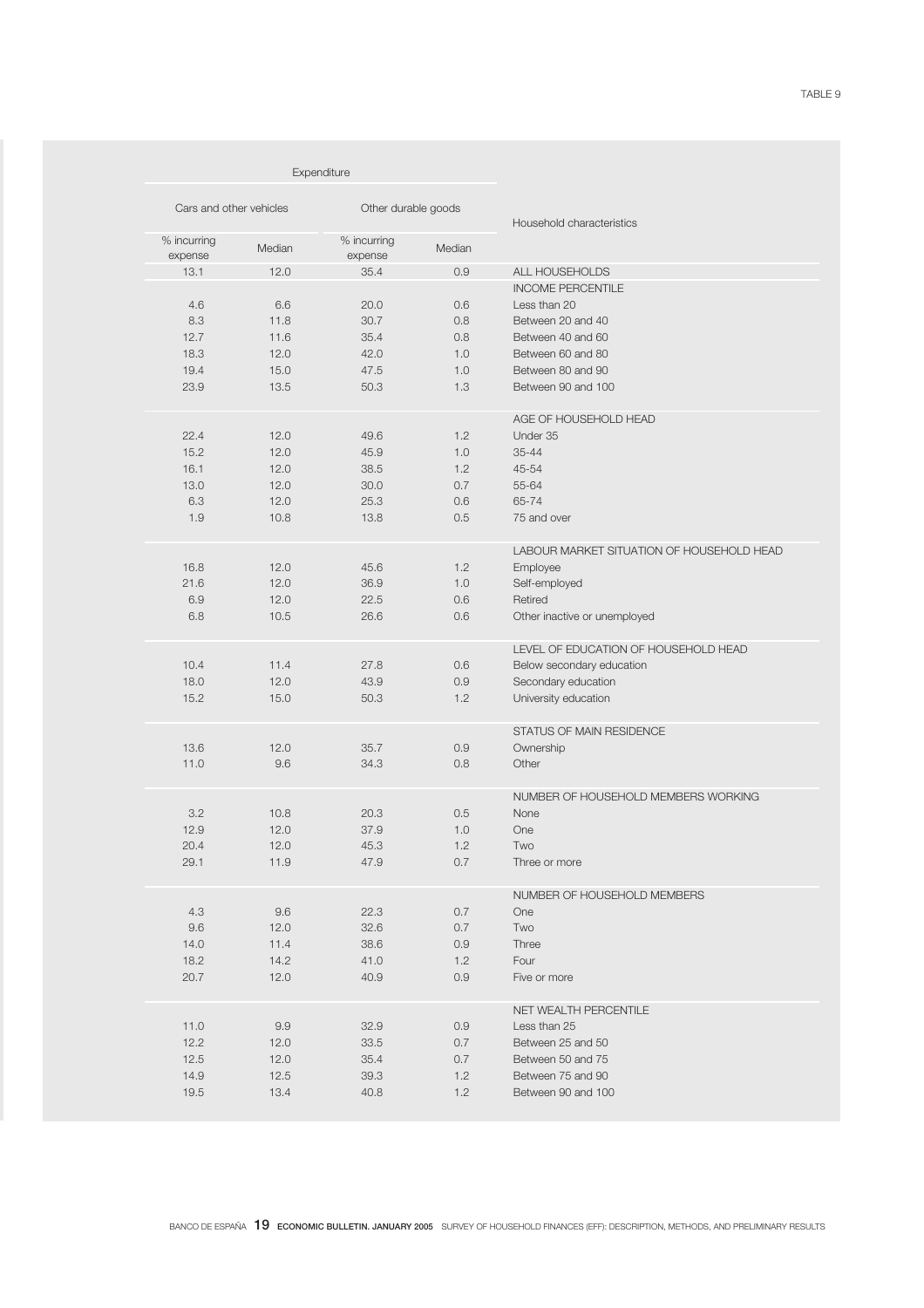| Expenditure             |              |                        |            |                                           |
|-------------------------|--------------|------------------------|------------|-------------------------------------------|
| Cars and other vehicles |              | Other durable goods    |            | Household characteristics                 |
| % incurring<br>expense  | Median       | % incurring<br>expense | Median     |                                           |
| 13.1                    | 12.0         | 35.4                   | 0.9        | ALL HOUSEHOLDS                            |
|                         |              |                        |            | <b>INCOME PERCENTILE</b>                  |
| 4.6                     | 6.6          | 20.0                   | 0.6        | Less than 20                              |
| 8.3                     | 11.8         | 30.7                   | 0.8        | Between 20 and 40                         |
| 12.7                    | 11.6         | 35.4                   | 0.8        | Between 40 and 60                         |
| 18.3                    | 12.0         | 42.0                   | 1.0        | Between 60 and 80                         |
| 19.4                    | 15.0         | 47.5                   | 1.0        | Between 80 and 90                         |
| 23.9                    | 13.5         | 50.3                   | 1.3        | Between 90 and 100                        |
|                         |              |                        |            | AGE OF HOUSEHOLD HEAD                     |
| 22.4                    | 12.0         | 49.6                   | 1.2        | Under 35                                  |
| 15.2                    | 12.0         | 45.9                   | 1.0        | $35 - 44$                                 |
| 16.1                    | 12.0         | 38.5                   | 1.2        | 45-54                                     |
| 13.0                    | 12.0         | 30.0                   | 0.7        | 55-64<br>65-74                            |
| 6.3<br>1.9              | 12.0<br>10.8 | 25.3<br>13.8           | 0.6<br>0.5 | 75 and over                               |
|                         |              |                        |            |                                           |
|                         |              |                        |            | LABOUR MARKET SITUATION OF HOUSEHOLD HEAD |
| 16.8                    | 12.0         | 45.6                   | 1.2        | Employee                                  |
| 21.6                    | 12.0         | 36.9                   | 1.0        | Self-employed                             |
| 6.9                     | 12.0         | 22.5                   | 0.6        | Retired                                   |
| 6.8                     | 10.5         | 26.6                   | 0.6        | Other inactive or unemployed              |
|                         |              |                        |            | LEVEL OF EDUCATION OF HOUSEHOLD HEAD      |
| 10.4                    | 11.4         | 27.8                   | 0.6        | Below secondary education                 |
| 18.0                    | 12.0         | 43.9                   | 0.9        | Secondary education                       |
| 15.2                    | 15.0         | 50.3                   | 1.2        | University education                      |
|                         |              |                        |            | STATUS OF MAIN RESIDENCE                  |
| 13.6                    | 12.0         | 35.7                   | 0.9        | Ownership                                 |
| 11.0                    | 9.6          | 34.3                   | 0.8        | Other                                     |
|                         |              |                        |            | NUMBER OF HOUSEHOLD MEMBERS WORKING       |
| 3.2                     | 10.8         | 20.3                   | 0.5        | None                                      |
| 12.9                    | 12.0         | 37.9                   | 1.0        | One                                       |
| 20.4                    | 12.0         | 45.3                   | 1.2        | Two                                       |
| 29.1                    | 11.9         | 47.9                   | 0.7        | Three or more                             |
|                         |              |                        |            | NUMBER OF HOUSEHOLD MEMBERS               |
| $4.3\,$                 | 9.6          | 22.3                   | 0.7        | <b>One</b>                                |
| 9.6                     | 12.0         | 32.6                   | 0.7        | Two                                       |
| 14.0                    | 11.4         | 38.6                   | 0.9        | Three                                     |
| 18.2                    | 14.2         | 41.0                   | 1.2        | Four                                      |
| 20.7                    | 12.0         | 40.9                   | 0.9        | Five or more                              |
|                         |              |                        |            | NET WEALTH PERCENTILE                     |
| 11.0                    | 9.9          | 32.9                   | 0.9        | Less than 25                              |
| 12.2                    | 12.0         | 33.5                   | 0.7        | Between 25 and 50                         |
| 12.5                    | 12.0         | 35.4                   | 0.7        | Between 50 and 75                         |
| 14.9                    | 12.5         | 39.3                   | 1.2        | Between 75 and 90                         |
| 19.5                    | 13.4         | 40.8                   | 1.2        | Between 90 and 100                        |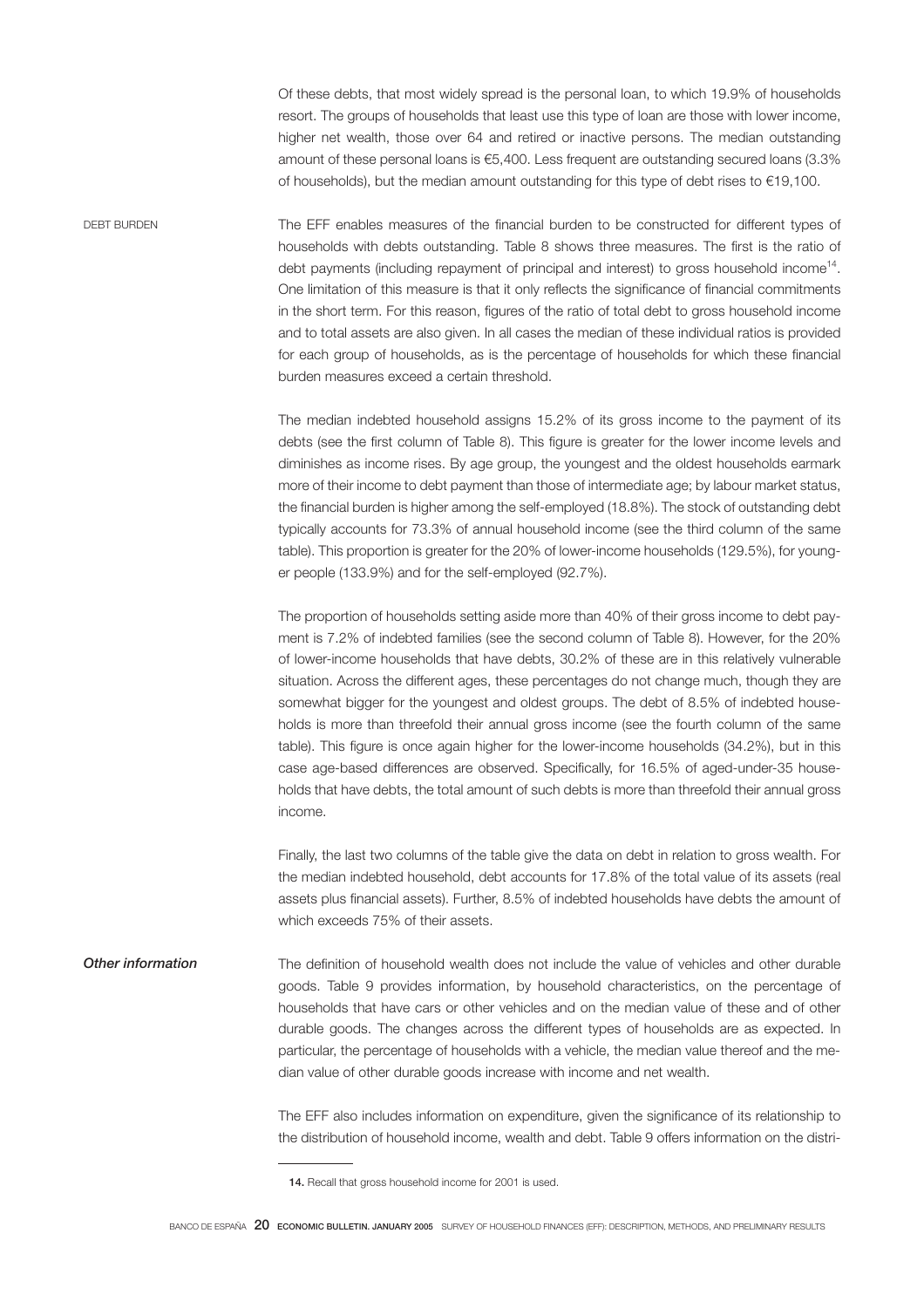Of these debts, that most widely spread is the personal loan, to which 19.9% of households resort. The groups of households that least use this type of loan are those with lower income, higher net wealth, those over 64 and retired or inactive persons. The median outstanding amount of these personal loans is €5,400. Less frequent are outstanding secured loans (3.3% of households), but the median amount outstanding for this type of debt rises to €19,100.

DEBT BURDEN The EFF enables measures of the financial burden to be constructed for different types of households with debts outstanding. Table 8 shows three measures. The first is the ratio of debt payments (including repayment of principal and interest) to gross household income14. One limitation of this measure is that it only reflects the significance of financial commitments in the short term. For this reason, figures of the ratio of total debt to gross household income and to total assets are also given. In all cases the median of these individual ratios is provided for each group of households, as is the percentage of households for which these financial burden measures exceed a certain threshold.

> The median indebted household assigns 15.2% of its gross income to the payment of its debts (see the first column of Table 8). This figure is greater for the lower income levels and diminishes as income rises. By age group, the youngest and the oldest households earmark more of their income to debt payment than those of intermediate age; by labour market status, the financial burden is higher among the self-employed (18.8%). The stock of outstanding debt typically accounts for 73.3% of annual household income (see the third column of the same table). This proportion is greater for the 20% of lower-income households (129.5%), for younger people (133.9%) and for the self-employed (92.7%).

> The proportion of households setting aside more than 40% of their gross income to debt payment is 7.2% of indebted families (see the second column of Table 8). However, for the 20% of lower-income households that have debts, 30.2% of these are in this relatively vulnerable situation. Across the different ages, these percentages do not change much, though they are somewhat bigger for the youngest and oldest groups. The debt of 8.5% of indebted households is more than threefold their annual gross income (see the fourth column of the same table). This figure is once again higher for the lower-income households (34.2%), but in this case age-based differences are observed. Specifically, for 16.5% of aged-under-35 households that have debts, the total amount of such debts is more than threefold their annual gross income.

> Finally, the last two columns of the table give the data on debt in relation to gross wealth. For the median indebted household, debt accounts for 17.8% of the total value of its assets (real assets plus financial assets). Further, 8.5% of indebted households have debts the amount of which exceeds 75% of their assets.

Other information The definition of household wealth does not include the value of vehicles and other durable goods. Table 9 provides information, by household characteristics, on the percentage of households that have cars or other vehicles and on the median value of these and of other durable goods. The changes across the different types of households are as expected. In particular, the percentage of households with a vehicle, the median value thereof and the median value of other durable goods increase with income and net wealth.

> The EFF also includes information on expenditure, given the significance of its relationship to the distribution of household income, wealth and debt. Table 9 offers information on the distri-

<sup>14.</sup> Recall that gross household income for 2001 is used.